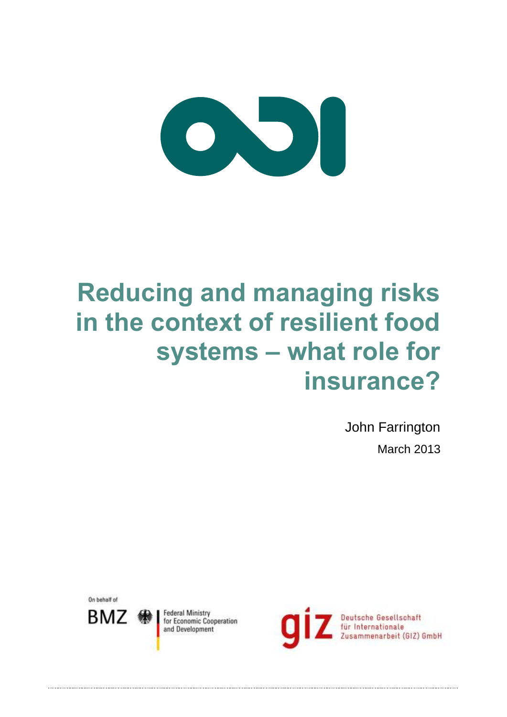# **Reducing and managing risks in the context of resilient food systems – what role for insurance?**

John Farrington March 2013

On behalf of



**Federal Ministry** for Economic Cooperation and Development

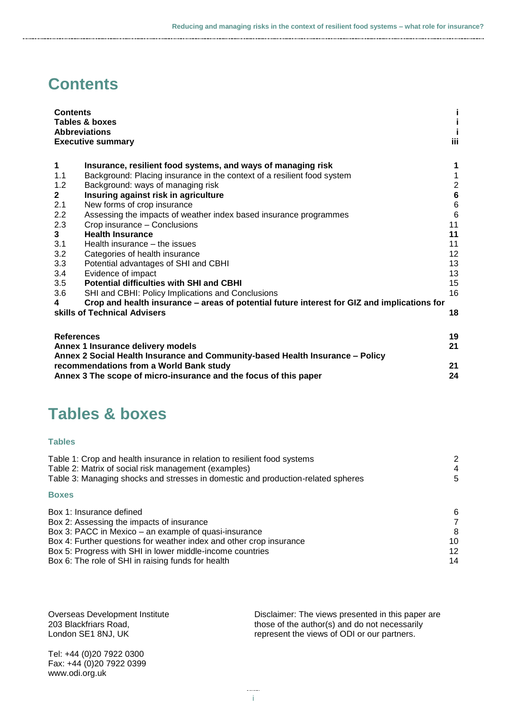### <span id="page-2-0"></span>**Contents**

| <b>Contents</b>                         | Tables & boxes<br><b>Abbreviations</b><br><b>Executive summary</b>                          | iii                                   |  |
|-----------------------------------------|---------------------------------------------------------------------------------------------|---------------------------------------|--|
| 1                                       | Insurance, resilient food systems, and ways of managing risk                                | 1                                     |  |
| 1.1                                     | Background: Placing insurance in the context of a resilient food system                     | 1                                     |  |
| 1.2                                     | Background: ways of managing risk                                                           | $\overline{\mathbf{c}}$               |  |
| 2 <sup>1</sup>                          | Insuring against risk in agriculture                                                        | $\begin{array}{c} 6 \\ 6 \end{array}$ |  |
| 2.1                                     | New forms of crop insurance                                                                 |                                       |  |
| 2.2                                     | Assessing the impacts of weather index based insurance programmes                           | 6                                     |  |
| 2.3                                     | Crop insurance - Conclusions                                                                | 11                                    |  |
| $\mathbf{3}$                            | <b>Health Insurance</b>                                                                     | 11                                    |  |
| 3.1                                     | Health insurance – the issues                                                               | 11                                    |  |
| 3.2                                     | Categories of health insurance                                                              | 12                                    |  |
| 3.3                                     | Potential advantages of SHI and CBHI                                                        | 13                                    |  |
| 3.4                                     | Evidence of impact                                                                          | 13                                    |  |
| 3.5                                     | <b>Potential difficulties with SHI and CBHI</b>                                             | 15                                    |  |
| 3.6                                     | SHI and CBHI: Policy Implications and Conclusions                                           | 16                                    |  |
| 4                                       | Crop and health insurance – areas of potential future interest for GIZ and implications for |                                       |  |
|                                         | skills of Technical Advisers                                                                | 18                                    |  |
|                                         | <b>References</b>                                                                           | 19                                    |  |
| Annex 1 Insurance delivery models       |                                                                                             |                                       |  |
|                                         | Annex 2 Social Health Insurance and Community-based Health Insurance - Policy               |                                       |  |
| recommendations from a World Bank study |                                                                                             |                                       |  |
|                                         | Annex 3 The scope of micro-insurance and the focus of this paper                            |                                       |  |

### <span id="page-2-1"></span>**Tables & boxes**

#### **Tables**

| Table 1: Crop and health insurance in relation to resilient food systems<br>Table 2: Matrix of social risk management (examples)<br>Table 3: Managing shocks and stresses in domestic and production-related spheres | 2<br>4<br>5 |
|----------------------------------------------------------------------------------------------------------------------------------------------------------------------------------------------------------------------|-------------|
| <b>Boxes</b>                                                                                                                                                                                                         |             |
| Box 1: Insurance defined                                                                                                                                                                                             | 6           |
| Box 2: Assessing the impacts of insurance                                                                                                                                                                            | 7           |
| Box 3: PACC in Mexico – an example of quasi-insurance                                                                                                                                                                | 8           |
| Box 4: Further questions for weather index and other crop insurance                                                                                                                                                  | 10          |
| Box 5: Progress with SHI in lower middle-income countries                                                                                                                                                            | 12          |

Box 6: [The role of SHI in raising funds for health](#page-21-0) 14

<span id="page-2-2"></span>Overseas Development Institute 203 Blackfriars Road, London SE1 8NJ, UK

Disclaimer: The views presented in this paper are those of the author(s) and do not necessarily represent the views of ODI or our partners.

Tel: +44 (0)20 7922 0300 Fax: +44 (0)20 7922 0399 www.odi.org.uk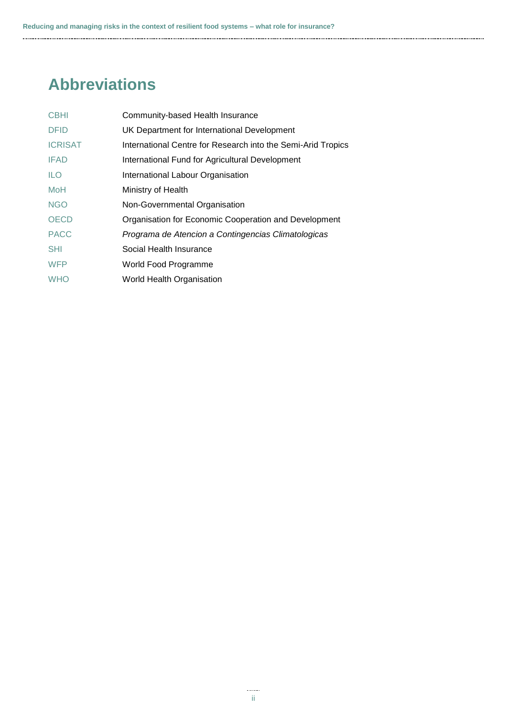## **Abbreviations**

| <b>CBHI</b>    | Community-based Health Insurance                             |
|----------------|--------------------------------------------------------------|
| <b>DFID</b>    | UK Department for International Development                  |
| <b>ICRISAT</b> | International Centre for Research into the Semi-Arid Tropics |
| <b>IFAD</b>    | International Fund for Agricultural Development              |
| <b>ILO</b>     | International Labour Organisation                            |
| MoH            | Ministry of Health                                           |
| <b>NGO</b>     | Non-Governmental Organisation                                |
| <b>OECD</b>    | Organisation for Economic Cooperation and Development        |
| <b>PACC</b>    | Programa de Atencion a Contingencias Climatologicas          |
| <b>SHI</b>     | Social Health Insurance                                      |
| <b>WFP</b>     | World Food Programme                                         |
| <b>WHO</b>     | World Health Organisation                                    |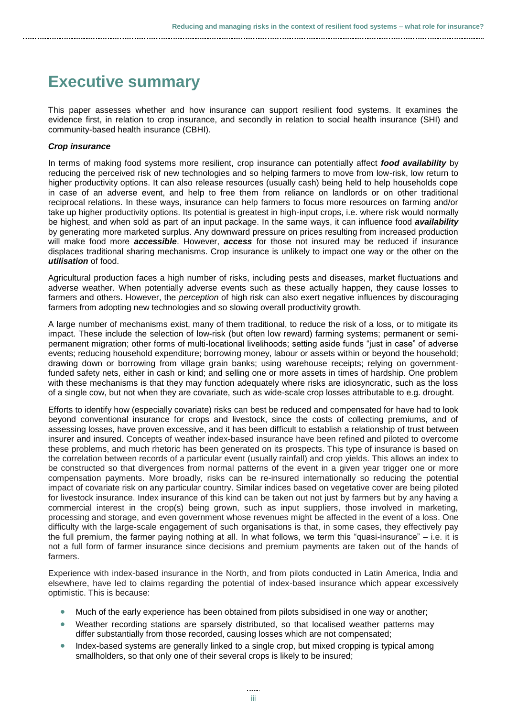### <span id="page-4-0"></span>**Executive summary**

This paper assesses whether and how insurance can support resilient food systems. It examines the evidence first, in relation to crop insurance, and secondly in relation to social health insurance (SHI) and community-based health insurance (CBHI).

#### *Crop insurance*

In terms of making food systems more resilient, crop insurance can potentially affect *food availability* by reducing the perceived risk of new technologies and so helping farmers to move from low-risk, low return to higher productivity options. It can also release resources (usually cash) being held to help households cope in case of an adverse event, and help to free them from reliance on landlords or on other traditional reciprocal relations. In these ways, insurance can help farmers to focus more resources on farming and/or take up higher productivity options. Its potential is greatest in high-input crops, i.e. where risk would normally be highest, and when sold as part of an input package. In the same ways, it can influence food *availability* by generating more marketed surplus. Any downward pressure on prices resulting from increased production will make food more *accessible*. However, *access* for those not insured may be reduced if insurance displaces traditional sharing mechanisms. Crop insurance is unlikely to impact one way or the other on the *utilisation* of food.

Agricultural production faces a high number of risks, including pests and diseases, market fluctuations and adverse weather. When potentially adverse events such as these actually happen, they cause losses to farmers and others. However, the *perception* of high risk can also exert negative influences by discouraging farmers from adopting new technologies and so slowing overall productivity growth.

A large number of mechanisms exist, many of them traditional, to reduce the risk of a loss, or to mitigate its impact. These include the selection of low-risk (but often low reward) farming systems; permanent or semipermanent migration; other forms of multi-locational livelihoods; setting aside funds "just in case" of adverse events; reducing household expenditure; borrowing money, labour or assets within or beyond the household; drawing down or borrowing from village grain banks; using warehouse receipts; relying on governmentfunded safety nets, either in cash or kind; and selling one or more assets in times of hardship. One problem with these mechanisms is that they may function adequately where risks are idiosyncratic, such as the loss of a single cow, but not when they are covariate, such as wide-scale crop losses attributable to e.g. drought.

Efforts to identify how (especially covariate) risks can best be reduced and compensated for have had to look beyond conventional insurance for crops and livestock, since the costs of collecting premiums, and of assessing losses, have proven excessive, and it has been difficult to establish a relationship of trust between insurer and insured. Concepts of weather index-based insurance have been refined and piloted to overcome these problems, and much rhetoric has been generated on its prospects. This type of insurance is based on the correlation between records of a particular event (usually rainfall) and crop yields. This allows an index to be constructed so that divergences from normal patterns of the event in a given year trigger one or more compensation payments. More broadly, risks can be re-insured internationally so reducing the potential impact of covariate risk on any particular country. Similar indices based on vegetative cover are being piloted for livestock insurance. Index insurance of this kind can be taken out not just by farmers but by any having a commercial interest in the crop(s) being grown, such as input suppliers, those involved in marketing, processing and storage, and even government whose revenues might be affected in the event of a loss. One difficulty with the large-scale engagement of such organisations is that, in some cases, they effectively pay the full premium, the farmer paying nothing at all. In what follows, we term this "quasi-insurance" – i.e. it is not a full form of farmer insurance since decisions and premium payments are taken out of the hands of farmers.

Experience with index-based insurance in the North, and from pilots conducted in Latin America, India and elsewhere, have led to claims regarding the potential of index-based insurance which appear excessively optimistic. This is because:

- Much of the early experience has been obtained from pilots subsidised in one way or another;
- Weather recording stations are sparsely distributed, so that localised weather patterns may differ substantially from those recorded, causing losses which are not compensated;
- Index-based systems are generally linked to a single crop, but mixed cropping is typical among smallholders, so that only one of their several crops is likely to be insured;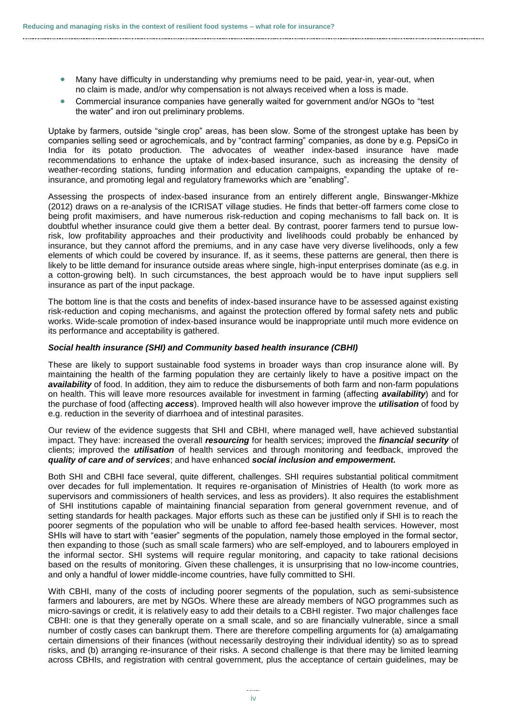- Many have difficulty in understanding why premiums need to be paid, year-in, year-out, when no claim is made, and/or why compensation is not always received when a loss is made.
- Commercial insurance companies have generally waited for government and/or NGOs to "test the water" and iron out preliminary problems.

Uptake by farmers, outside "single crop" areas, has been slow. Some of the strongest uptake has been by companies selling seed or agrochemicals, and by "contract farming" companies, as done by e.g. PepsiCo in India for its potato production. The advocates of weather index-based insurance have made recommendations to enhance the uptake of index-based insurance, such as increasing the density of weather-recording stations, funding information and education campaigns, expanding the uptake of reinsurance, and promoting legal and regulatory frameworks which are "enabling".

Assessing the prospects of index-based insurance from an entirely different angle, Binswanger-Mkhize (2012) draws on a re-analysis of the ICRISAT village studies. He finds that better-off farmers come close to being profit maximisers, and have numerous risk-reduction and coping mechanisms to fall back on. It is doubtful whether insurance could give them a better deal. By contrast, poorer farmers tend to pursue lowrisk, low profitability approaches and their productivity and livelihoods could probably be enhanced by insurance, but they cannot afford the premiums, and in any case have very diverse livelihoods, only a few elements of which could be covered by insurance. If, as it seems, these patterns are general, then there is likely to be little demand for insurance outside areas where single, high-input enterprises dominate (as e.g. in a cotton-growing belt). In such circumstances, the best approach would be to have input suppliers sell insurance as part of the input package.

The bottom line is that the costs and benefits of index-based insurance have to be assessed against existing risk-reduction and coping mechanisms, and against the protection offered by formal safety nets and public works. Wide-scale promotion of index-based insurance would be inappropriate until much more evidence on its performance and acceptability is gathered.

#### *Social health insurance (SHI) and Community based health insurance (CBHI)*

These are likely to support sustainable food systems in broader ways than crop insurance alone will. By maintaining the health of the farming population they are certainly likely to have a positive impact on the *availability* of food. In addition, they aim to reduce the disbursements of both farm and non-farm populations on health. This will leave more resources available for investment in farming (affecting *availability*) and for the purchase of food (affecting *access*). Improved health will also however improve the *utilisation* of food by e.g. reduction in the severity of diarrhoea and of intestinal parasites.

Our review of the evidence suggests that SHI and CBHI, where managed well, have achieved substantial impact. They have: increased the overall *resourcing* for health services; improved the *financial security* of clients; improved the *utilisation* of health services and through monitoring and feedback, improved the *quality of care and of services*; and have enhanced *social inclusion and empowerment.*

Both SHI and CBHI face several, quite different, challenges. SHI requires substantial political commitment over decades for full implementation. It requires re-organisation of Ministries of Health (to work more as supervisors and commissioners of health services, and less as providers). It also requires the establishment of SHI institutions capable of maintaining financial separation from general government revenue, and of setting standards for health packages. Major efforts such as these can be justified only if SHI is to reach the poorer segments of the population who will be unable to afford fee-based health services. However, most SHIs will have to start with "easier" segments of the population, namely those employed in the formal sector, then expanding to those (such as small scale farmers) who are self-employed, and to labourers employed in the informal sector. SHI systems will require regular monitoring, and capacity to take rational decisions based on the results of monitoring. Given these challenges, it is unsurprising that no low-income countries, and only a handful of lower middle-income countries, have fully committed to SHI.

With CBHI, many of the costs of including poorer segments of the population, such as semi-subsistence farmers and labourers, are met by NGOs. Where these are already members of NGO programmes such as micro-savings or credit, it is relatively easy to add their details to a CBHI register. Two major challenges face CBHI: one is that they generally operate on a small scale, and so are financially vulnerable, since a small number of costly cases can bankrupt them. There are therefore compelling arguments for (a) amalgamating certain dimensions of their finances (without necessarily destroying their individual identity) so as to spread risks, and (b) arranging re-insurance of their risks. A second challenge is that there may be limited learning across CBHIs, and registration with central government, plus the acceptance of certain guidelines, may be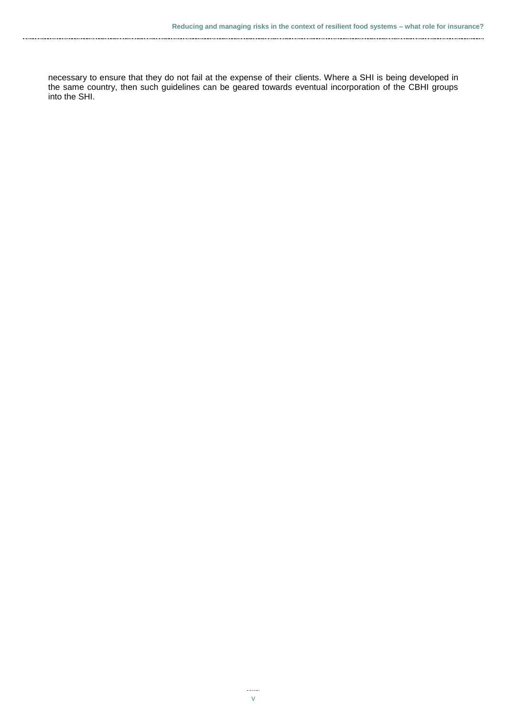necessary to ensure that they do not fail at the expense of their clients. Where a SHI is being developed in the same country, then such guidelines can be geared towards eventual incorporation of the CBHI groups into the SHI.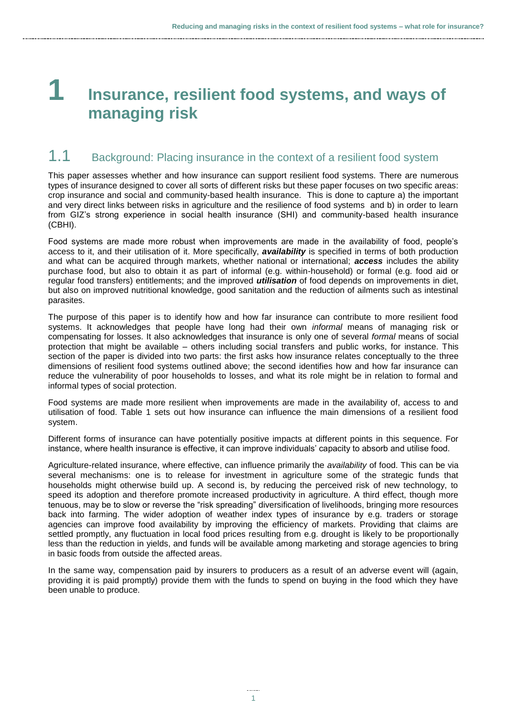## <span id="page-8-0"></span>**1 Insurance, resilient food systems, and ways of managing risk**

### <span id="page-8-1"></span>1.1 Background: Placing insurance in the context of a resilient food system

This paper assesses whether and how insurance can support resilient food systems. There are numerous types of insurance designed to cover all sorts of different risks but these paper focuses on two specific areas: crop insurance and social and community-based health insurance. This is done to capture a) the important and very direct links between risks in agriculture and the resilience of food systems and b) in order to learn from GIZ's strong experience in social health insurance (SHI) and community-based health insurance (CBHI).

Food systems are made more robust when improvements are made in the availability of food, people's access to it, and their utilisation of it. More specifically, *availability* is specified in terms of both production and what can be acquired through markets, whether national or international; *access* includes the ability purchase food, but also to obtain it as part of informal (e.g. within-household) or formal (e.g. food aid or regular food transfers) entitlements; and the improved *utilisation* of food depends on improvements in diet, but also on improved nutritional knowledge, good sanitation and the reduction of ailments such as intestinal parasites.

The purpose of this paper is to identify how and how far insurance can contribute to more resilient food systems. It acknowledges that people have long had their own *informal* means of managing risk or compensating for losses. It also acknowledges that insurance is only one of several *formal* means of social protection that might be available – others including social transfers and public works, for instance. This section of the paper is divided into two parts: the first asks how insurance relates conceptually to the three dimensions of resilient food systems outlined above; the second identifies how and how far insurance can reduce the vulnerability of poor households to losses, and what its role might be in relation to formal and informal types of social protection.

Food systems are made more resilient when improvements are made in the availability of, access to and utilisation of food. Table 1 sets out how insurance can influence the main dimensions of a resilient food system.

Different forms of insurance can have potentially positive impacts at different points in this sequence. For instance, where health insurance is effective, it can improve individuals' capacity to absorb and utilise food.

Agriculture-related insurance, where effective, can influence primarily the *availability* of food. This can be via several mechanisms: one is to release for investment in agriculture some of the strategic funds that households might otherwise build up. A second is, by reducing the perceived risk of new technology, to speed its adoption and therefore promote increased productivity in agriculture. A third effect, though more tenuous, may be to slow or reverse the "risk spreading" diversification of livelihoods, bringing more resources back into farming. The wider adoption of weather index types of insurance by e.g. traders or storage agencies can improve food availability by improving the efficiency of markets. Providing that claims are settled promptly, any fluctuation in local food prices resulting from e.g. drought is likely to be proportionally less than the reduction in yields, and funds will be available among marketing and storage agencies to bring in basic foods from outside the affected areas.

In the same way, compensation paid by insurers to producers as a result of an adverse event will (again, providing it is paid promptly) provide them with the funds to spend on buying in the food which they have been unable to produce.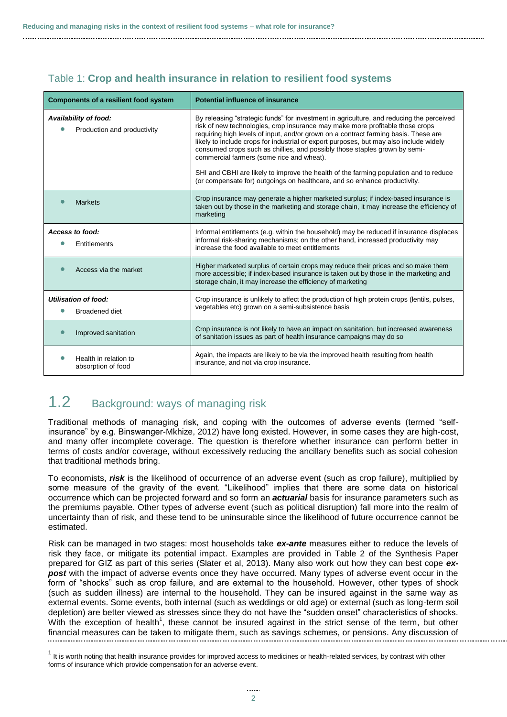### <span id="page-9-1"></span>Table 1: **Crop and health insurance in relation to resilient food systems**

| <b>Components of a resilient food system</b>         | <b>Potential influence of insurance</b>                                                                                                                                                                                                                                                                                                                                                                                                                                                                                                                                                                                                                     |  |  |
|------------------------------------------------------|-------------------------------------------------------------------------------------------------------------------------------------------------------------------------------------------------------------------------------------------------------------------------------------------------------------------------------------------------------------------------------------------------------------------------------------------------------------------------------------------------------------------------------------------------------------------------------------------------------------------------------------------------------------|--|--|
| Availability of food:<br>Production and productivity | By releasing "strategic funds" for investment in agriculture, and reducing the perceived<br>risk of new technologies, crop insurance may make more profitable those crops<br>requiring high levels of input, and/or grown on a contract farming basis. These are<br>likely to include crops for industrial or export purposes, but may also include widely<br>consumed crops such as chillies, and possibly those staples grown by semi-<br>commercial farmers (some rice and wheat).<br>SHI and CBHI are likely to improve the health of the farming population and to reduce<br>(or compensate for) outgoings on healthcare, and so enhance productivity. |  |  |
| <b>Markets</b>                                       | Crop insurance may generate a higher marketed surplus; if index-based insurance is<br>taken out by those in the marketing and storage chain, it may increase the efficiency of<br>marketing                                                                                                                                                                                                                                                                                                                                                                                                                                                                 |  |  |
| Access to food:<br>Entitlements                      | Informal entitlements (e.g. within the household) may be reduced if insurance displaces<br>informal risk-sharing mechanisms; on the other hand, increased productivity may<br>increase the food available to meet entitlements                                                                                                                                                                                                                                                                                                                                                                                                                              |  |  |
| Access via the market                                | Higher marketed surplus of certain crops may reduce their prices and so make them<br>more accessible; if index-based insurance is taken out by those in the marketing and<br>storage chain, it may increase the efficiency of marketing                                                                                                                                                                                                                                                                                                                                                                                                                     |  |  |
| Utilisation of food:<br><b>Broadened diet</b>        | Crop insurance is unlikely to affect the production of high protein crops (lentils, pulses,<br>vegetables etc) grown on a semi-subsistence basis                                                                                                                                                                                                                                                                                                                                                                                                                                                                                                            |  |  |
| Improved sanitation                                  | Crop insurance is not likely to have an impact on sanitation, but increased awareness<br>of sanitation issues as part of health insurance campaigns may do so                                                                                                                                                                                                                                                                                                                                                                                                                                                                                               |  |  |
| Health in relation to<br>absorption of food          | Again, the impacts are likely to be via the improved health resulting from health<br>insurance, and not via crop insurance.                                                                                                                                                                                                                                                                                                                                                                                                                                                                                                                                 |  |  |

### <span id="page-9-0"></span>1.2 Background: ways of managing risk

Traditional methods of managing risk, and coping with the outcomes of adverse events (termed "selfinsurance" by e.g. Binswanger-Mkhize, 2012) have long existed. However, in some cases they are high-cost, and many offer incomplete coverage. The question is therefore whether insurance can perform better in terms of costs and/or coverage, without excessively reducing the ancillary benefits such as social cohesion that traditional methods bring.

To economists, *risk* is the likelihood of occurrence of an adverse event (such as crop failure), multiplied by some measure of the gravity of the event. "Likelihood" implies that there are some data on historical occurrence which can be projected forward and so form an *actuarial* basis for insurance parameters such as the premiums payable. Other types of adverse event (such as political disruption) fall more into the realm of uncertainty than of risk, and these tend to be uninsurable since the likelihood of future occurrence cannot be estimated.

Risk can be managed in two stages: most households take *ex-ante* measures either to reduce the levels of risk they face, or mitigate its potential impact. Examples are provided in Table 2 of the Synthesis Paper prepared for GIZ as part of this series (Slater et al, 2013). Many also work out how they can best cope *expost* with the impact of adverse events once they have occurred. Many types of adverse event occur in the form of "shocks" such as crop failure, and are external to the household. However, other types of shock (such as sudden illness) are internal to the household. They can be insured against in the same way as external events. Some events, both internal (such as weddings or old age) or external (such as long-term soil depletion) are better viewed as stresses since they do not have the "sudden onset" characteristics of shocks. With the exception of health<sup>1</sup>, these cannot be insured against in the strict sense of the term, but other financial measures can be taken to mitigate them, such as savings schemes, or pensions. Any discussion of

 $1$  It is worth noting that health insurance provides for improved access to medicines or health-related services, by contrast with other forms of insurance which provide compensation for an adverse event.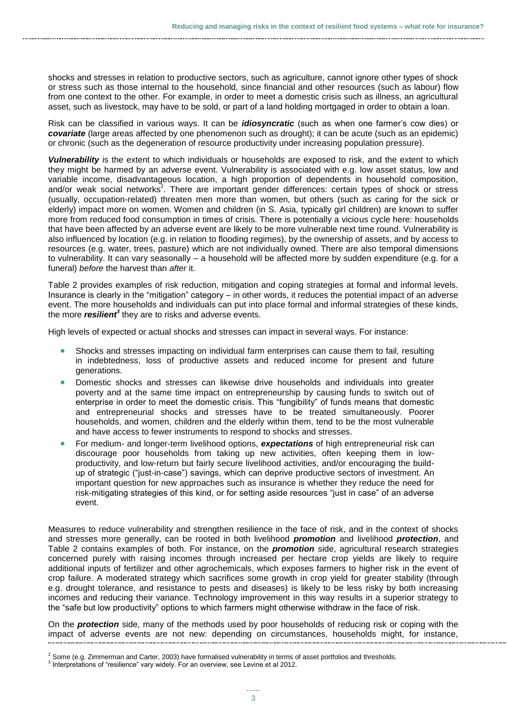shocks and stresses in relation to productive sectors, such as agriculture, cannot ignore other types of shock or stress such as those internal to the household, since financial and other resources (such as labour) flow from one context to the other. For example, in order to meet a domestic crisis such as illness, an agricultural asset, such as livestock, may have to be sold, or part of a land holding mortgaged in order to obtain a loan.

Risk can be classified in various ways. It can be *idiosyncratic* (such as when one farmer's cow dies) or *covariate* (large areas affected by one phenomenon such as drought); it can be acute (such as an epidemic) or chronic (such as the degeneration of resource productivity under increasing population pressure).

*Vulnerability* is the extent to which individuals or households are exposed to risk, and the extent to which they might be harmed by an adverse event. Vulnerability is associated with e.g. low asset status, low and variable income, disadvantageous location, a high proportion of dependents in household composition, and/or weak social networks<sup>2</sup>. There are important gender differences: certain types of shock or stress (usually, occupation-related) threaten men more than women, but others (such as caring for the sick or elderly) impact more on women. Women and children (in S. Asia, typically girl children) are known to suffer more from reduced food consumption in times of crisis. There is potentially a vicious cycle here: households that have been affected by an adverse event are likely to be more vulnerable next time round. Vulnerability is also influenced by location (e.g. in relation to flooding regimes), by the ownership of assets, and by access to resources (e.g. water, trees, pasture) which are not individually owned. There are also temporal dimensions to vulnerability. It can vary seasonally – a household will be affected more by sudden expenditure (e.g. for a funeral) *before* the harvest than *after* it.

Table 2 provides examples of risk reduction, mitigation and coping strategies at formal and informal levels. Insurance is clearly in the "mitigation" category – in other words, it reduces the potential impact of an adverse event. The more households and individuals can put into place formal and informal strategies of these kinds, the more *resilient*<sup>3</sup> they are to risks and adverse events.

High levels of expected or actual shocks and stresses can impact in several ways. For instance:

- Shocks and stresses impacting on individual farm enterprises can cause them to fail, resulting in indebtedness, loss of productive assets and reduced income for present and future generations.
- Domestic shocks and stresses can likewise drive households and individuals into greater poverty and at the same time impact on entrepreneurship by causing funds to switch out of enterprise in order to meet the domestic crisis. This "fungibility" of funds means that domestic and entrepreneurial shocks and stresses have to be treated simultaneously. Poorer households, and women, children and the elderly within them, tend to be the most vulnerable and have access to fewer instruments to respond to shocks and stresses.
- For medium- and longer-term livelihood options, *expectations* of high entrepreneurial risk can discourage poor households from taking up new activities, often keeping them in lowproductivity, and low-return but fairly secure livelihood activities, and/or encouraging the buildup of strategic ("just-in-case") savings, which can deprive productive sectors of investment. An important question for new approaches such as insurance is whether they reduce the need for risk-mitigating strategies of this kind, or for setting aside resources "just in case" of an adverse event.

Measures to reduce vulnerability and strengthen resilience in the face of risk, and in the context of shocks and stresses more generally, can be rooted in both livelihood *promotion* and livelihood *protection*, and Table 2 contains examples of both. For instance, on the *promotion* side, agricultural research strategies concerned purely with raising incomes through increased per hectare crop yields are likely to require additional inputs of fertilizer and other agrochemicals, which exposes farmers to higher risk in the event of crop failure. A moderated strategy which sacrifices some growth in crop yield for greater stability (through e.g. drought tolerance, and resistance to pests and diseases) is likely to be less risky by both increasing incomes and reducing their variance. Technology improvement in this way results in a superior strategy to the "safe but low productivity" options to which farmers might otherwise withdraw in the face of risk.

On the *protection* side, many of the methods used by poor households of reducing risk or coping with the impact of adverse events are not new: depending on circumstances, households might, for instance,

 $2$  Some (e.g. Zimmerman and Carter, 2003) have formalised vulnerability in terms of asset portfolios and thresholds.

<sup>&</sup>lt;sup>3</sup> Interpretations of "resilience" vary widely. For an overview, see Levine et al 2012.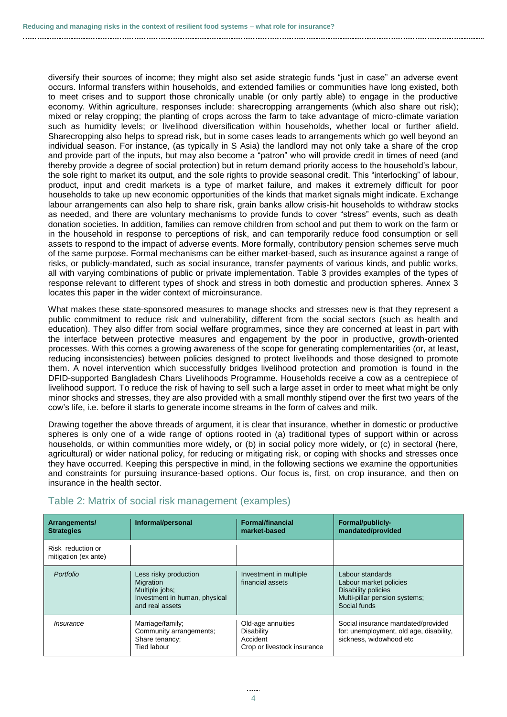diversify their sources of income; they might also set aside strategic funds "just in case" an adverse event occurs. Informal transfers within households, and extended families or communities have long existed, both to meet crises and to support those chronically unable (or only partly able) to engage in the productive economy. Within agriculture, responses include: sharecropping arrangements (which also share out risk); mixed or relay cropping; the planting of crops across the farm to take advantage of micro-climate variation such as humidity levels; or livelihood diversification within households, whether local or further afield. Sharecropping also helps to spread risk, but in some cases leads to arrangements which go well beyond an individual season. For instance, (as typically in S Asia) the landlord may not only take a share of the crop and provide part of the inputs, but may also become a "patron" who will provide credit in times of need (and thereby provide a degree of social protection) but in return demand priority access to the household's labour, the sole right to market its output, and the sole rights to provide seasonal credit. This "interlocking" of labour, product, input and credit markets is a type of market failure, and makes it extremely difficult for poor households to take up new economic opportunities of the kinds that market signals might indicate. Exchange labour arrangements can also help to share risk, grain banks allow crisis-hit households to withdraw stocks as needed, and there are voluntary mechanisms to provide funds to cover "stress" events, such as death donation societies. In addition, families can remove children from school and put them to work on the farm or in the household in response to perceptions of risk, and can temporarily reduce food consumption or sell assets to respond to the impact of adverse events. More formally, contributory pension schemes serve much of the same purpose. Formal mechanisms can be either market-based, such as insurance against a range of risks, or publicly-mandated, such as social insurance, transfer payments of various kinds, and public works, all with varying combinations of public or private implementation. Table 3 provides examples of the types of response relevant to different types of shock and stress in both domestic and production spheres. Annex 3 locates this paper in the wider context of microinsurance.

What makes these state-sponsored measures to manage shocks and stresses new is that they represent a public commitment to reduce risk and vulnerability, different from the social sectors (such as health and education). They also differ from social welfare programmes, since they are concerned at least in part with the interface between protective measures and engagement by the poor in productive, growth-oriented processes. With this comes a growing awareness of the scope for generating complementarities (or, at least, reducing inconsistencies) between policies designed to protect livelihoods and those designed to promote them. A novel intervention which successfully bridges livelihood protection and promotion is found in the DFID-supported Bangladesh Chars Livelihoods Programme. Households receive a cow as a centrepiece of livelihood support. To reduce the risk of having to sell such a large asset in order to meet what might be only minor shocks and stresses, they are also provided with a small monthly stipend over the first two years of the cow's life, i.e. before it starts to generate income streams in the form of calves and milk.

Drawing together the above threads of argument, it is clear that insurance, whether in domestic or productive spheres is only one of a wide range of options rooted in (a) traditional types of support within or across households, or within communities more widely, or (b) in social policy more widely, or (c) in sectoral (here, agricultural) or wider national policy, for reducing or mitigating risk, or coping with shocks and stresses once they have occurred. Keeping this perspective in mind, in the following sections we examine the opportunities and constraints for pursuing insurance-based options. Our focus is, first, on crop insurance, and then on insurance in the health sector.

| Arrangements/<br><b>Strategies</b>        | Informal/personal                                                                                        | <b>Formal/financial</b><br>market-based                                    | Formal/publicly-<br>mandated/provided                                                                              |
|-------------------------------------------|----------------------------------------------------------------------------------------------------------|----------------------------------------------------------------------------|--------------------------------------------------------------------------------------------------------------------|
| Risk reduction or<br>mitigation (ex ante) |                                                                                                          |                                                                            |                                                                                                                    |
| Portfolio                                 | Less risky production<br>Migration<br>Multiple jobs;<br>Investment in human, physical<br>and real assets | Investment in multiple<br>financial assets                                 | Labour standards<br>Labour market policies<br>Disability policies<br>Multi-pillar pension systems;<br>Social funds |
| Insurance                                 | Marriage/family;<br>Community arrangements;<br>Share tenancy;<br><b>Tied labour</b>                      | Old-age annuities<br>Disability<br>Accident<br>Crop or livestock insurance | Social insurance mandated/provided<br>for: unemployment, old age, disability,<br>sickness, widowhood etc           |

#### <span id="page-11-0"></span>Table 2: Matrix of social risk management (examples)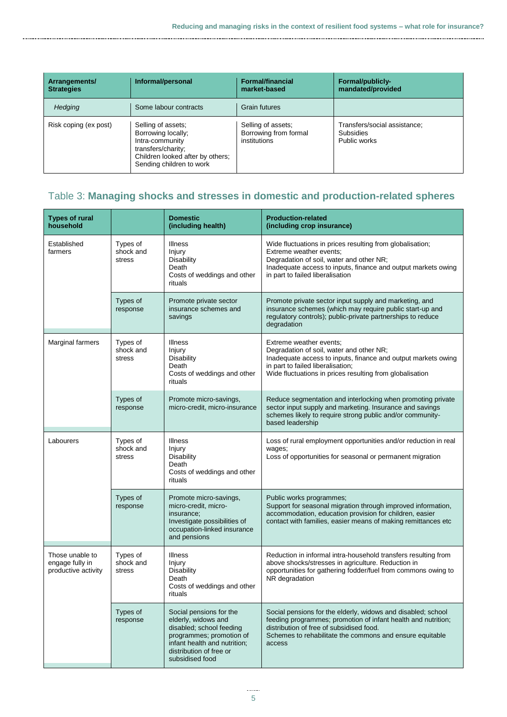| Arrangements/<br><b>Strategies</b> | Informal/personal                                                                                                                                 | <b>Formal/financial</b><br>market-based                     | Formal/publicly-<br>mandated/provided                            |
|------------------------------------|---------------------------------------------------------------------------------------------------------------------------------------------------|-------------------------------------------------------------|------------------------------------------------------------------|
| Hedging                            | Some labour contracts                                                                                                                             | Grain futures                                               |                                                                  |
| Risk coping (ex post)              | Selling of assets;<br>Borrowing locally;<br>Intra-community<br>transfers/charity;<br>Children looked after by others;<br>Sending children to work | Selling of assets;<br>Borrowing from formal<br>institutions | Transfers/social assistance;<br><b>Subsidies</b><br>Public works |

### <span id="page-12-0"></span>Table 3: **Managing shocks and stresses in domestic and production-related spheres**

| <b>Types of rural</b><br>household                        |                                 | <b>Domestic</b><br>(including health)                                                                                                                                                | <b>Production-related</b><br>(including crop insurance)                                                                                                                                                                                         |
|-----------------------------------------------------------|---------------------------------|--------------------------------------------------------------------------------------------------------------------------------------------------------------------------------------|-------------------------------------------------------------------------------------------------------------------------------------------------------------------------------------------------------------------------------------------------|
| Established<br>farmers                                    | Types of<br>shock and<br>stress | <b>Illness</b><br>Injury<br><b>Disability</b><br>Death<br>Costs of weddings and other<br>rituals                                                                                     | Wide fluctuations in prices resulting from globalisation;<br>Extreme weather events;<br>Degradation of soil, water and other NR;<br>Inadequate access to inputs, finance and output markets owing<br>in part to failed liberalisation           |
|                                                           | Types of<br>response            | Promote private sector<br>insurance schemes and<br>savings                                                                                                                           | Promote private sector input supply and marketing, and<br>insurance schemes (which may require public start-up and<br>regulatory controls); public-private partnerships to reduce<br>degradation                                                |
| Marginal farmers                                          | Types of<br>shock and<br>stress | <b>Illness</b><br>Injury<br><b>Disability</b><br>Death<br>Costs of weddings and other<br>rituals                                                                                     | Extreme weather events;<br>Degradation of soil, water and other NR;<br>Inadequate access to inputs, finance and output markets owing<br>in part to failed liberalisation;<br>Wide fluctuations in prices resulting from globalisation           |
|                                                           | Types of<br>response            | Promote micro-savings,<br>micro-credit, micro-insurance                                                                                                                              | Reduce segmentation and interlocking when promoting private<br>sector input supply and marketing. Insurance and savings<br>schemes likely to require strong public and/or community-<br>based leadership                                        |
| Labourers                                                 | Types of<br>shock and<br>stress | Illness<br>Injury<br>Disability<br>Death<br>Costs of weddings and other<br>rituals                                                                                                   | Loss of rural employment opportunities and/or reduction in real<br>wages;<br>Loss of opportunities for seasonal or permanent migration                                                                                                          |
|                                                           | Types of<br>response            | Promote micro-savings,<br>micro-credit, micro-<br>insurance;<br>Investigate possibilities of<br>occupation-linked insurance<br>and pensions                                          | Public works programmes;<br>Support for seasonal migration through improved information,<br>accommodation, education provision for children, easier<br>contact with families, easier means of making remittances etc                            |
| Those unable to<br>engage fully in<br>productive activity | Types of<br>shock and<br>stress | <b>Illness</b><br>Injury<br><b>Disability</b><br>Death<br>Costs of weddings and other<br>rituals                                                                                     | Reduction in informal intra-household transfers resulting from<br>above shocks/stresses in agriculture. Reduction in<br>opportunities for gathering fodder/fuel from commons owing to<br>NR degradation                                         |
|                                                           | Types of<br>response            | Social pensions for the<br>elderly, widows and<br>disabled; school feeding<br>programmes; promotion of<br>infant health and nutrition;<br>distribution of free or<br>subsidised food | Social pensions for the elderly, widows and disabled; school<br>feeding programmes; promotion of infant health and nutrition;<br>distribution of free of subsidised food.<br>Schemes to rehabilitate the commons and ensure equitable<br>access |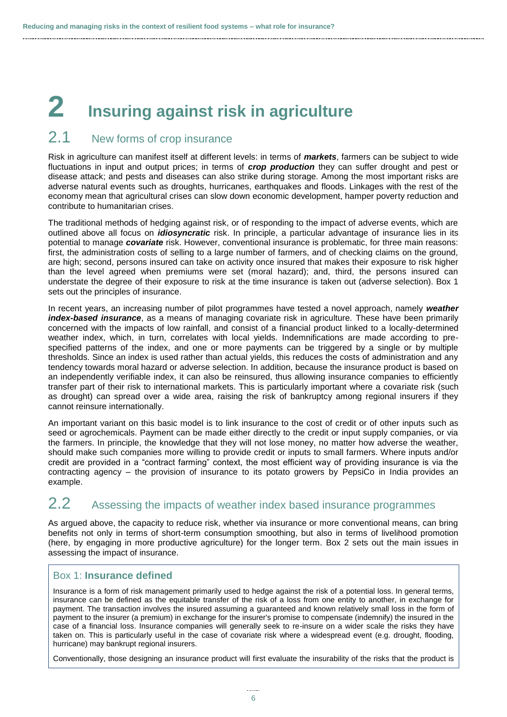## <span id="page-13-0"></span>**2 Insuring against risk in agriculture**

### <span id="page-13-1"></span>2.1 New forms of crop insurance

Risk in agriculture can manifest itself at different levels: in terms of *markets*, farmers can be subject to wide fluctuations in input and output prices; in terms of *crop production* they can suffer drought and pest or disease attack; and pests and diseases can also strike during storage. Among the most important risks are adverse natural events such as droughts, hurricanes, earthquakes and floods. Linkages with the rest of the economy mean that agricultural crises can slow down economic development, hamper poverty reduction and contribute to humanitarian crises.

The traditional methods of hedging against risk, or of responding to the impact of adverse events, which are outlined above all focus on *idiosyncratic* risk. In principle, a particular advantage of insurance lies in its potential to manage *covariate* risk. However, conventional insurance is problematic, for three main reasons: first, the administration costs of selling to a large number of farmers, and of checking claims on the ground, are high; second, persons insured can take on activity once insured that makes their exposure to risk higher than the level agreed when premiums were set (moral hazard); and, third, the persons insured can understate the degree of their exposure to risk at the time insurance is taken out (adverse selection). Box 1 sets out the principles of insurance.

In recent years, an increasing number of pilot programmes have tested a novel approach, namely *weather index-based insurance*, as a means of managing covariate risk in agriculture. These have been primarily concerned with the impacts of low rainfall, and consist of a financial product linked to a locally-determined weather index, which, in turn, correlates with local yields. Indemnifications are made according to prespecified patterns of the index, and one or more payments can be triggered by a single or by multiple thresholds. Since an index is used rather than actual yields, this reduces the costs of administration and any tendency towards moral hazard or adverse selection. In addition, because the insurance product is based on an independently verifiable index, it can also be reinsured, thus allowing insurance companies to efficiently transfer part of their risk to international markets. This is particularly important where a covariate risk (such as drought) can spread over a wide area, raising the risk of bankruptcy among regional insurers if they cannot reinsure internationally.

An important variant on this basic model is to link insurance to the cost of credit or of other inputs such as seed or agrochemicals. Payment can be made either directly to the credit or input supply companies, or via the farmers. In principle, the knowledge that they will not lose money, no matter how adverse the weather, should make such companies more willing to provide credit or inputs to small farmers. Where inputs and/or credit are provided in a "contract farming" context, the most efficient way of providing insurance is via the contracting agency – the provision of insurance to its potato growers by PepsiCo in India provides an example.

### <span id="page-13-2"></span>2.2 Assessing the impacts of weather index based insurance programmes

As argued above, the capacity to reduce risk, whether via insurance or more conventional means, can bring benefits not only in terms of short-term consumption smoothing, but also in terms of livelihood promotion (here, by engaging in more productive agriculture) for the longer term. Box 2 sets out the main issues in assessing the impact of insurance.

#### <span id="page-13-3"></span>Box 1: **Insurance defined**

Insurance is a form of risk management primarily used to hedge against the risk of a potential loss. In general terms, insurance can be defined as the equitable transfer of the risk of a loss from one entity to another, in exchange for payment. The transaction involves the insured assuming a guaranteed and known relatively small loss in the form of payment to the insurer (a premium) in exchange for the insurer's promise to compensate (indemnify) the insured in the case of a financial loss. Insurance companies will generally seek to re-insure on a wider scale the risks they have taken on. This is particularly useful in the case of covariate risk where a widespread event (e.g. drought, flooding, hurricane) may bankrupt regional insurers.

Conventionally, those designing an insurance product will first evaluate the insurability of the risks that the product is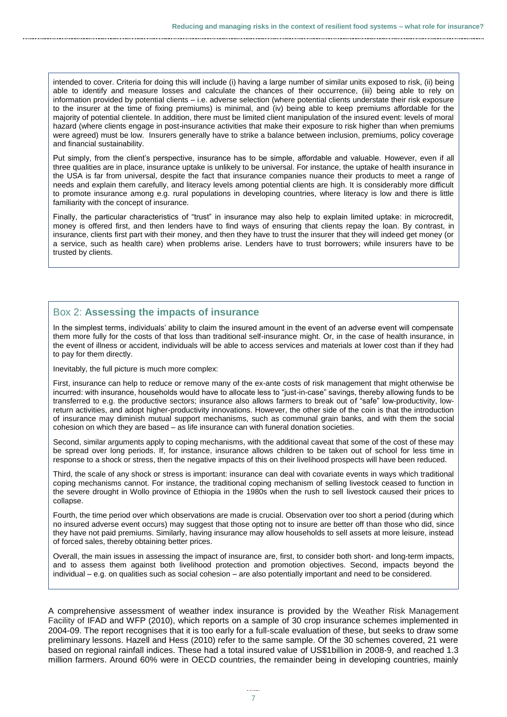intended to cover. Criteria for doing this will include (i) having a large number of similar units exposed to risk, (ii) being able to identify and measure losses and calculate the chances of their occurrence, (iii) being able to rely on information provided by potential clients – i.e. adverse selection (where potential clients understate their risk exposure to the insurer at the time of fixing premiums) is minimal, and (iv) being able to keep premiums affordable for the majority of potential clientele. In addition, there must be limited client manipulation of the insured event: levels of moral hazard (where clients engage in post-insurance activities that make their exposure to risk higher than when premiums were agreed) must be low. Insurers generally have to strike a balance between inclusion, premiums, policy coverage and financial sustainability.

Put simply, from the client's perspective, insurance has to be simple, affordable and valuable. However, even if all three qualities are in place, insurance uptake is unlikely to be universal. For instance, the uptake of health insurance in the USA is far from universal, despite the fact that insurance companies nuance their products to meet a range of needs and explain them carefully, and literacy levels among potential clients are high. It is considerably more difficult to promote insurance among e.g. rural populations in developing countries, where literacy is low and there is little familiarity with the concept of insurance.

Finally, the particular characteristics of "trust" in insurance may also help to explain limited uptake: in microcredit, money is offered first, and then lenders have to find ways of ensuring that clients repay the loan. By contrast, in insurance, clients first part with their money, and then they have to trust the insurer that they will indeed get money (or a service, such as health care) when problems arise. Lenders have to trust borrowers; while insurers have to be trusted by clients.

#### <span id="page-14-0"></span>Box 2: **Assessing the impacts of insurance**

In the simplest terms, individuals' ability to claim the insured amount in the event of an adverse event will compensate them more fully for the costs of that loss than traditional self-insurance might. Or, in the case of health insurance, in the event of illness or accident, individuals will be able to access services and materials at lower cost than if they had to pay for them directly.

Inevitably, the full picture is much more complex:

First, insurance can help to reduce or remove many of the ex-ante costs of risk management that might otherwise be incurred: with insurance, households would have to allocate less to "just-in-case" savings, thereby allowing funds to be transferred to e.g. the productive sectors; insurance also allows farmers to break out of "safe" low-productivity, lowreturn activities, and adopt higher-productivity innovations. However, the other side of the coin is that the introduction of insurance may diminish mutual support mechanisms, such as communal grain banks, and with them the social cohesion on which they are based – as life insurance can with funeral donation societies.

Second, similar arguments apply to coping mechanisms, with the additional caveat that some of the cost of these may be spread over long periods. If, for instance, insurance allows children to be taken out of school for less time in response to a shock or stress, then the negative impacts of this on their livelihood prospects will have been reduced.

Third, the scale of any shock or stress is important: insurance can deal with covariate events in ways which traditional coping mechanisms cannot. For instance, the traditional coping mechanism of selling livestock ceased to function in the severe drought in Wollo province of Ethiopia in the 1980s when the rush to sell livestock caused their prices to collapse.

Fourth, the time period over which observations are made is crucial. Observation over too short a period (during which no insured adverse event occurs) may suggest that those opting not to insure are better off than those who did, since they have not paid premiums. Similarly, having insurance may allow households to sell assets at more leisure, instead of forced sales, thereby obtaining better prices.

Overall, the main issues in assessing the impact of insurance are, first, to consider both short- and long-term impacts, and to assess them against both livelihood protection and promotion objectives. Second, impacts beyond the individual – e.g. on qualities such as social cohesion – are also potentially important and need to be considered.

A comprehensive assessment of weather index insurance is provided by the Weather Risk Management Facility of IFAD and WFP (2010), which reports on a sample of 30 crop insurance schemes implemented in 2004-09. The report recognises that it is too early for a full-scale evaluation of these, but seeks to draw some preliminary lessons. Hazell and Hess (2010) refer to the same sample. Of the 30 schemes covered, 21 were based on regional rainfall indices. These had a total insured value of US\$1billion in 2008-9, and reached 1.3 million farmers. Around 60% were in OECD countries, the remainder being in developing countries, mainly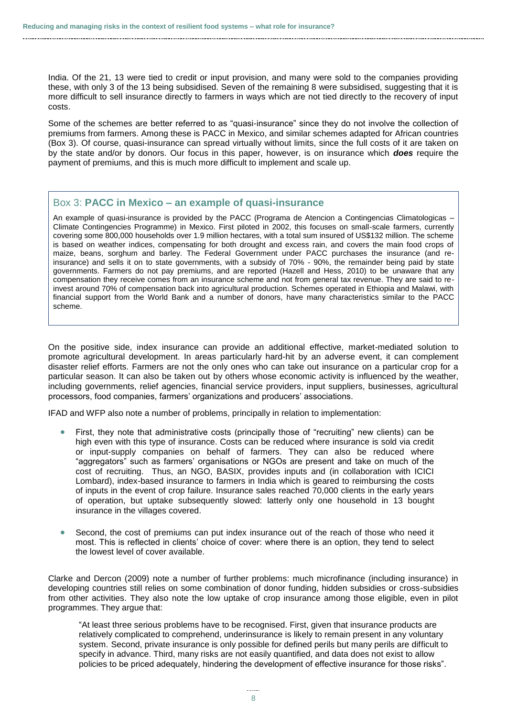India. Of the 21, 13 were tied to credit or input provision, and many were sold to the companies providing these, with only 3 of the 13 being subsidised. Seven of the remaining 8 were subsidised, suggesting that it is more difficult to sell insurance directly to farmers in ways which are not tied directly to the recovery of input costs.

Some of the schemes are better referred to as "quasi-insurance" since they do not involve the collection of premiums from farmers. Among these is PACC in Mexico, and similar schemes adapted for African countries (Box 3). Of course, quasi-insurance can spread virtually without limits, since the full costs of it are taken on by the state and/or by donors. Our focus in this paper, however, is on insurance which *does* require the payment of premiums, and this is much more difficult to implement and scale up.

#### <span id="page-15-0"></span>Box 3: **PACC in Mexico – an example of quasi-insurance**

An example of quasi-insurance is provided by the PACC (Programa de Atencion a Contingencias Climatologicas – Climate Contingencies Programme) in Mexico. First piloted in 2002, this focuses on small-scale farmers, currently covering some 800,000 households over 1.9 million hectares, with a total sum insured of US\$132 million. The scheme is based on weather indices, compensating for both drought and excess rain, and covers the main food crops of maize, beans, sorghum and barley. The Federal Government under PACC purchases the insurance (and reinsurance) and sells it on to state governments, with a subsidy of 70% - 90%, the remainder being paid by state governments. Farmers do not pay premiums, and are reported (Hazell and Hess, 2010) to be unaware that any compensation they receive comes from an insurance scheme and not from general tax revenue. They are said to reinvest around 70% of compensation back into agricultural production. Schemes operated in Ethiopia and Malawi, with financial support from the World Bank and a number of donors, have many characteristics similar to the PACC scheme.

On the positive side, index insurance can provide an additional effective, market-mediated solution to promote agricultural development. In areas particularly hard-hit by an adverse event, it can complement disaster relief efforts. Farmers are not the only ones who can take out insurance on a particular crop for a particular season. It can also be taken out by others whose economic activity is influenced by the weather, including governments, relief agencies, financial service providers, input suppliers, businesses, agricultural processors, food companies, farmers' organizations and producers' associations.

IFAD and WFP also note a number of problems, principally in relation to implementation:

- First, they note that administrative costs (principally those of "recruiting" new clients) can be high even with this type of insurance. Costs can be reduced where insurance is sold via credit or input-supply companies on behalf of farmers. They can also be reduced where "aggregators" such as farmers' organisations or NGOs are present and take on much of the cost of recruiting. Thus, an NGO, BASIX, provides inputs and (in collaboration with ICICI Lombard), index-based insurance to farmers in India which is geared to reimbursing the costs of inputs in the event of crop failure. Insurance sales reached 70,000 clients in the early years of operation, but uptake subsequently slowed: latterly only one household in 13 bought insurance in the villages covered.
- Second, the cost of premiums can put index insurance out of the reach of those who need it most. This is reflected in clients' choice of cover: where there is an option, they tend to select the lowest level of cover available.

Clarke and Dercon (2009) note a number of further problems: much microfinance (including insurance) in developing countries still relies on some combination of donor funding, hidden subsidies or cross-subsidies from other activities. They also note the low uptake of crop insurance among those eligible, even in pilot programmes. They argue that:

"At least three serious problems have to be recognised. First, given that insurance products are relatively complicated to comprehend, underinsurance is likely to remain present in any voluntary system. Second, private insurance is only possible for defined perils but many perils are difficult to specify in advance. Third, many risks are not easily quantified, and data does not exist to allow policies to be priced adequately, hindering the development of effective insurance for those risks".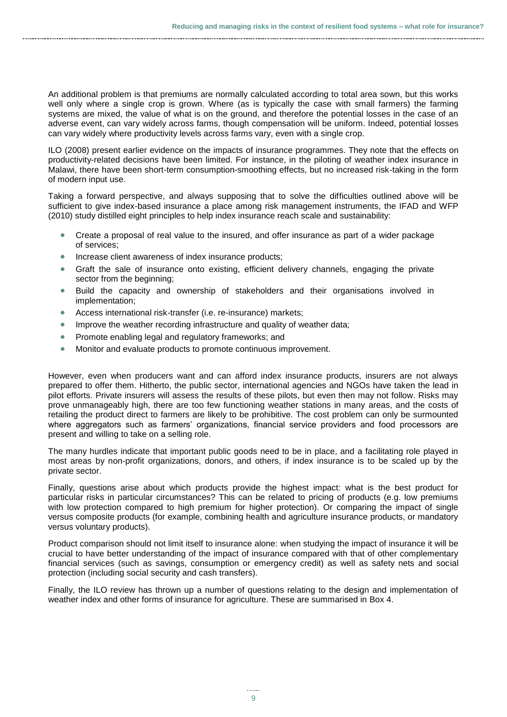An additional problem is that premiums are normally calculated according to total area sown, but this works well only where a single crop is grown. Where (as is typically the case with small farmers) the farming systems are mixed, the value of what is on the ground, and therefore the potential losses in the case of an adverse event, can vary widely across farms, though compensation will be uniform. Indeed, potential losses can vary widely where productivity levels across farms vary, even with a single crop.

ILO (2008) present earlier evidence on the impacts of insurance programmes. They note that the effects on productivity-related decisions have been limited. For instance, in the piloting of weather index insurance in Malawi, there have been short-term consumption-smoothing effects, but no increased risk-taking in the form of modern input use.

Taking a forward perspective, and always supposing that to solve the difficulties outlined above will be sufficient to give index-based insurance a place among risk management instruments, the IFAD and WFP (2010) study distilled eight principles to help index insurance reach scale and sustainability:

- Create a proposal of real value to the insured, and offer insurance as part of a wider package of services;
- Increase client awareness of index insurance products;
- Graft the sale of insurance onto existing, efficient delivery channels, engaging the private sector from the beginning;
- Build the capacity and ownership of stakeholders and their organisations involved in implementation;
- Access international risk-transfer (i.e. re-insurance) markets;
- Improve the weather recording infrastructure and quality of weather data;
- Promote enabling legal and regulatory frameworks: and
- Monitor and evaluate products to promote continuous improvement.

However, even when producers want and can afford index insurance products, insurers are not always prepared to offer them. Hitherto, the public sector, international agencies and NGOs have taken the lead in pilot efforts. Private insurers will assess the results of these pilots, but even then may not follow. Risks may prove unmanageably high, there are too few functioning weather stations in many areas, and the costs of retailing the product direct to farmers are likely to be prohibitive. The cost problem can only be surmounted where aggregators such as farmers' organizations, financial service providers and food processors are present and willing to take on a selling role.

The many hurdles indicate that important public goods need to be in place, and a facilitating role played in most areas by non-profit organizations, donors, and others, if index insurance is to be scaled up by the private sector.

Finally, questions arise about which products provide the highest impact: what is the best product for particular risks in particular circumstances? This can be related to pricing of products (e.g. low premiums with low protection compared to high premium for higher protection). Or comparing the impact of single versus composite products (for example, combining health and agriculture insurance products, or mandatory versus voluntary products).

Product comparison should not limit itself to insurance alone: when studying the impact of insurance it will be crucial to have better understanding of the impact of insurance compared with that of other complementary financial services (such as savings, consumption or emergency credit) as well as safety nets and social protection (including social security and cash transfers).

Finally, the ILO review has thrown up a number of questions relating to the design and implementation of weather index and other forms of insurance for agriculture. These are summarised in Box 4.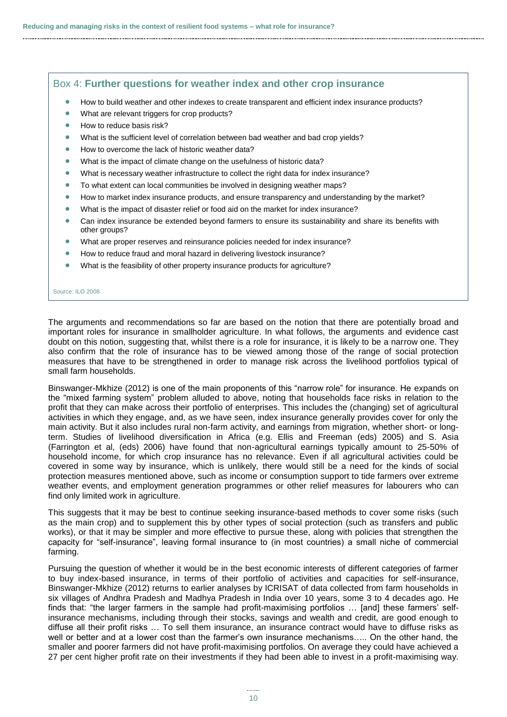#### <span id="page-17-0"></span>Box 4: **Further questions for weather index and other crop insurance**

- **How to build weather and other indexes to create transparent and efficient index insurance products?**
- What are relevant triggers for crop products?
- How to reduce basis risk?
- What is the sufficient level of correlation between bad weather and bad crop yields?
- **How to overcome the lack of historic weather data?**
- What is the impact of climate change on the usefulness of historic data?
- What is necessary weather infrastructure to collect the right data for index insurance?
- To what extent can local communities be involved in designing weather maps?
- How to market index insurance products, and ensure transparency and understanding by the market?
- What is the impact of disaster relief or food aid on the market for index insurance?
- Can index insurance be extended beyond farmers to ensure its sustainability and share its benefits with other groups?
- What are proper reserves and reinsurance policies needed for index insurance?
- How to reduce fraud and moral hazard in delivering livestock insurance?
- What is the feasibility of other property insurance products for agriculture?

#### Source: ILO 2008

The arguments and recommendations so far are based on the notion that there are potentially broad and important roles for insurance in smallholder agriculture. In what follows, the arguments and evidence cast doubt on this notion, suggesting that, whilst there is a role for insurance, it is likely to be a narrow one. They also confirm that the role of insurance has to be viewed among those of the range of social protection measures that have to be strengthened in order to manage risk across the livelihood portfolios typical of small farm households.

Binswanger-Mkhize (2012) is one of the main proponents of this "narrow role" for insurance. He expands on the "mixed farming system" problem alluded to above, noting that households face risks in relation to the profit that they can make across their portfolio of enterprises. This includes the (changing) set of agricultural activities in which they engage, and, as we have seen, index insurance generally provides cover for only the main activity. But it also includes rural non-farm activity, and earnings from migration, whether short- or longterm. Studies of livelihood diversification in Africa (e.g. Ellis and Freeman (eds) 2005) and S. Asia (Farrington et al, (eds) 2006) have found that non-agricultural earnings typically amount to 25-50% of household income, for which crop insurance has no relevance. Even if all agricultural activities could be covered in some way by insurance, which is unlikely, there would still be a need for the kinds of social protection measures mentioned above, such as income or consumption support to tide farmers over extreme weather events, and employment generation programmes or other relief measures for labourers who can find only limited work in agriculture.

This suggests that it may be best to continue seeking insurance-based methods to cover some risks (such as the main crop) and to supplement this by other types of social protection (such as transfers and public works), or that it may be simpler and more effective to pursue these, along with policies that strengthen the capacity for "self-insurance", leaving formal insurance to (in most countries) a small niche of commercial farming.

Pursuing the question of whether it would be in the best economic interests of different categories of farmer to buy index-based insurance, in terms of their portfolio of activities and capacities for self-insurance, Binswanger-Mkhize (2012) returns to earlier analyses by ICRISAT of data collected from farm households in six villages of Andhra Pradesh and Madhya Pradesh in India over 10 years, some 3 to 4 decades ago. He finds that: "the larger farmers in the sample had profit-maximising portfolios … [and] these farmers' selfinsurance mechanisms, including through their stocks, savings and wealth and credit, are good enough to diffuse all their profit risks … To sell them insurance, an insurance contract would have to diffuse risks as well or better and at a lower cost than the farmer's own insurance mechanisms….. On the other hand, the smaller and poorer farmers did not have profit-maximising portfolios. On average they could have achieved a 27 per cent higher profit rate on their investments if they had been able to invest in a profit-maximising way.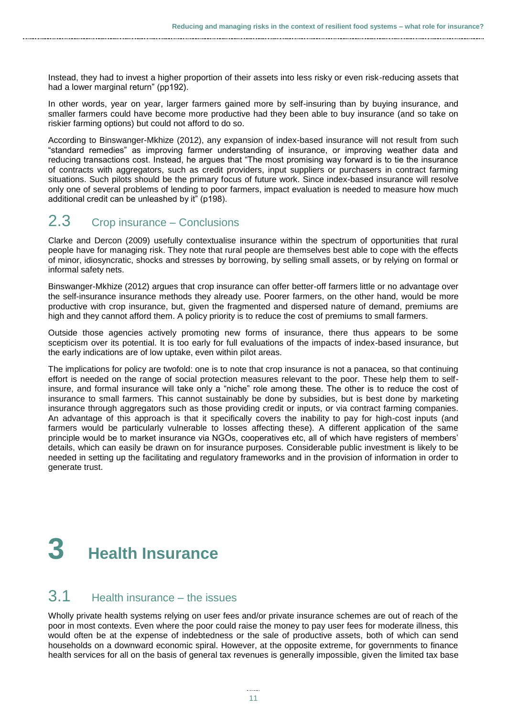Instead, they had to invest a higher proportion of their assets into less risky or even risk-reducing assets that had a lower marginal return" (pp192).

In other words, year on year, larger farmers gained more by self-insuring than by buying insurance, and smaller farmers could have become more productive had they been able to buy insurance (and so take on riskier farming options) but could not afford to do so.

According to Binswanger-Mkhize (2012), any expansion of index-based insurance will not result from such "standard remedies" as improving farmer understanding of insurance, or improving weather data and reducing transactions cost. Instead, he argues that "The most promising way forward is to tie the insurance of contracts with aggregators, such as credit providers, input suppliers or purchasers in contract farming situations. Such pilots should be the primary focus of future work. Since index-based insurance will resolve only one of several problems of lending to poor farmers, impact evaluation is needed to measure how much additional credit can be unleashed by it" (p198).

### <span id="page-18-0"></span>2.3 Crop insurance – Conclusions

Clarke and Dercon (2009) usefully contextualise insurance within the spectrum of opportunities that rural people have for managing risk. They note that rural people are themselves best able to cope with the effects of minor, idiosyncratic, shocks and stresses by borrowing, by selling small assets, or by relying on formal or informal safety nets.

Binswanger-Mkhize (2012) argues that crop insurance can offer better-off farmers little or no advantage over the self-insurance insurance methods they already use. Poorer farmers, on the other hand, would be more productive with crop insurance, but, given the fragmented and dispersed nature of demand, premiums are high and they cannot afford them. A policy priority is to reduce the cost of premiums to small farmers.

Outside those agencies actively promoting new forms of insurance, there thus appears to be some scepticism over its potential. It is too early for full evaluations of the impacts of index-based insurance, but the early indications are of low uptake, even within pilot areas.

The implications for policy are twofold: one is to note that crop insurance is not a panacea, so that continuing effort is needed on the range of social protection measures relevant to the poor. These help them to selfinsure, and formal insurance will take only a "niche" role among these. The other is to reduce the cost of insurance to small farmers. This cannot sustainably be done by subsidies, but is best done by marketing insurance through aggregators such as those providing credit or inputs, or via contract farming companies. An advantage of this approach is that it specifically covers the inability to pay for high-cost inputs (and farmers would be particularly vulnerable to losses affecting these). A different application of the same principle would be to market insurance via NGOs, cooperatives etc, all of which have registers of members' details, which can easily be drawn on for insurance purposes. Considerable public investment is likely to be needed in setting up the facilitating and regulatory frameworks and in the provision of information in order to generate trust.

## <span id="page-18-1"></span>**3 Health Insurance**

### <span id="page-18-2"></span>3.1 Health insurance – the issues

Wholly private health systems relying on user fees and/or private insurance schemes are out of reach of the poor in most contexts. Even where the poor could raise the money to pay user fees for moderate illness, this would often be at the expense of indebtedness or the sale of productive assets, both of which can send households on a downward economic spiral. However, at the opposite extreme, for governments to finance health services for all on the basis of general tax revenues is generally impossible, given the limited tax base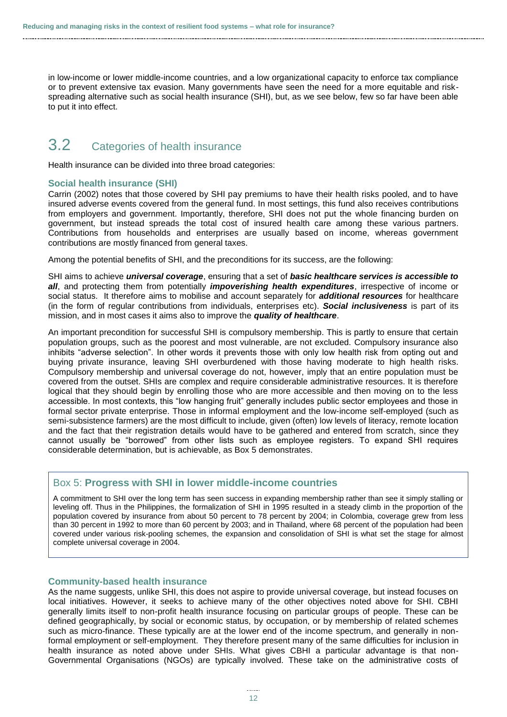in low-income or lower middle-income countries, and a low organizational capacity to enforce tax compliance or to prevent extensive tax evasion. Many governments have seen the need for a more equitable and riskspreading alternative such as social health insurance (SHI), but, as we see below, few so far have been able to put it into effect.

### <span id="page-19-0"></span>3.2 Categories of health insurance

Health insurance can be divided into three broad categories:

#### **Social health insurance (SHI)**

Carrin (2002) notes that those covered by SHI pay premiums to have their health risks pooled, and to have insured adverse events covered from the general fund. In most settings, this fund also receives contributions from employers and government. Importantly, therefore, SHI does not put the whole financing burden on government, but instead spreads the total cost of insured health care among these various partners. Contributions from households and enterprises are usually based on income, whereas government contributions are mostly financed from general taxes.

Among the potential benefits of SHI, and the preconditions for its success, are the following:

SHI aims to achieve *universal coverage*, ensuring that a set of *basic healthcare services is accessible to all*, and protecting them from potentially *impoverishing health expenditures*, irrespective of income or social status. It therefore aims to mobilise and account separately for *additional resources* for healthcare (in the form of regular contributions from individuals, enterprises etc). *Social inclusiveness* is part of its mission, and in most cases it aims also to improve the *quality of healthcare*.

An important precondition for successful SHI is compulsory membership. This is partly to ensure that certain population groups, such as the poorest and most vulnerable, are not excluded. Compulsory insurance also inhibits "adverse selection". In other words it prevents those with only low health risk from opting out and buying private insurance, leaving SHI overburdened with those having moderate to high health risks. Compulsory membership and universal coverage do not, however, imply that an entire population must be covered from the outset. SHIs are complex and require considerable administrative resources. It is therefore logical that they should begin by enrolling those who are more accessible and then moving on to the less accessible. In most contexts, this "low hanging fruit" generally includes public sector employees and those in formal sector private enterprise. Those in informal employment and the low-income self-employed (such as semi-subsistence farmers) are the most difficult to include, given (often) low levels of literacy, remote location and the fact that their registration details would have to be gathered and entered from scratch, since they cannot usually be "borrowed" from other lists such as employee registers. To expand SHI requires considerable determination, but is achievable, as Box 5 demonstrates.

#### <span id="page-19-1"></span>Box 5: **Progress with SHI in lower middle-income countries**

A commitment to SHI over the long term has seen success in expanding membership rather than see it simply stalling or leveling off. Thus in the Philippines, the formalization of SHI in 1995 resulted in a steady climb in the proportion of the population covered by insurance from about 50 percent to 78 percent by 2004; in Colombia, coverage grew from less than 30 percent in 1992 to more than 60 percent by 2003; and in Thailand, where 68 percent of the population had been covered under various risk-pooling schemes, the expansion and consolidation of SHI is what set the stage for almost complete universal coverage in 2004.

#### **Community-based health insurance**

As the name suggests, unlike SHI, this does not aspire to provide universal coverage, but instead focuses on local initiatives. However, it seeks to achieve many of the other objectives noted above for SHI. CBHI generally limits itself to non-profit health insurance focusing on particular groups of people. These can be defined geographically, by social or economic status, by occupation, or by membership of related schemes such as micro-finance. These typically are at the lower end of the income spectrum, and generally in nonformal employment or self-employment. They therefore present many of the same difficulties for inclusion in health insurance as noted above under SHIs. What gives CBHI a particular advantage is that non-Governmental Organisations (NGOs) are typically involved. These take on the administrative costs of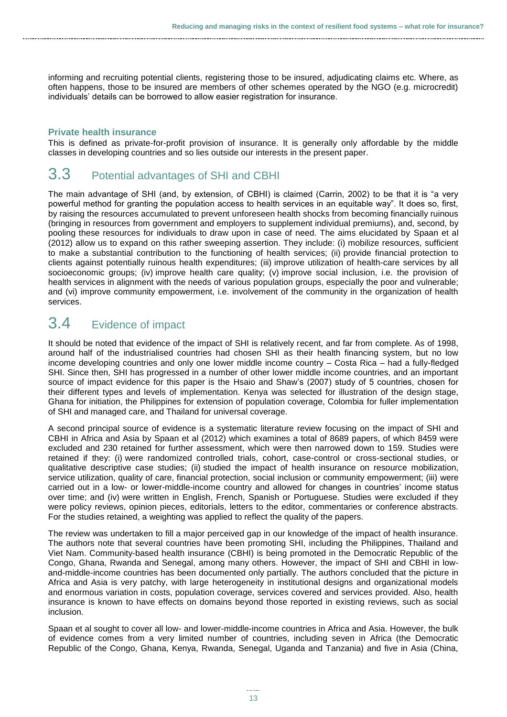informing and recruiting potential clients, registering those to be insured, adjudicating claims etc. Where, as often happens, those to be insured are members of other schemes operated by the NGO (e.g. microcredit) individuals' details can be borrowed to allow easier registration for insurance.

#### **Private health insurance**

This is defined as private-for-profit provision of insurance. It is generally only affordable by the middle classes in developing countries and so lies outside our interests in the present paper.

### <span id="page-20-0"></span>3.3 Potential advantages of SHI and CBHI

The main advantage of SHI (and, by extension, of CBHI) is claimed (Carrin, 2002) to be that it is "a very powerful method for granting the population access to health services in an equitable way". It does so, first, by raising the resources accumulated to prevent unforeseen health shocks from becoming financially ruinous (bringing in resources from government and employers to supplement individual premiums), and, second, by pooling these resources for individuals to draw upon in case of need. The aims elucidated by Spaan et al (2012) allow us to expand on this rather sweeping assertion. They include: (i) mobilize resources, sufficient to make a substantial contribution to the functioning of health services; (ii) provide financial protection to clients against potentially ruinous health expenditures; (iii) improve utilization of health-care services by all socioeconomic groups; (iv) improve health care quality; (v) improve social inclusion, i.e. the provision of health services in alignment with the needs of various population groups, especially the poor and vulnerable; and (vi) improve community empowerment, i.e. involvement of the community in the organization of health services.

### <span id="page-20-1"></span>3.4 Evidence of impact

It should be noted that evidence of the impact of SHI is relatively recent, and far from complete. As of 1998, around half of the industrialised countries had chosen SHI as their health financing system, but no low income developing countries and only one lower middle income country – Costa Rica – had a fully-fledged SHI. Since then, SHI has progressed in a number of other lower middle income countries, and an important source of impact evidence for this paper is the Hsaio and Shaw's (2007) study of 5 countries, chosen for their different types and levels of implementation. Kenya was selected for illustration of the design stage, Ghana for initiation, the Philippines for extension of population coverage, Colombia for fuller implementation of SHI and managed care, and Thailand for universal coverage.

A second principal source of evidence is a systematic literature review focusing on the impact of SHI and CBHI in Africa and Asia by Spaan et al (2012) which examines a total of 8689 papers, of which 8459 were excluded and 230 retained for further assessment, which were then narrowed down to 159. Studies were retained if they: (i) were randomized controlled trials, cohort, case-control or cross-sectional studies, or qualitative descriptive case studies; (ii) studied the impact of health insurance on resource mobilization, service utilization, quality of care, financial protection, social inclusion or community empowerment; (iii) were carried out in a low- or lower-middle-income country and allowed for changes in countries' income status over time; and (iv) were written in English, French, Spanish or Portuguese. Studies were excluded if they were policy reviews, opinion pieces, editorials, letters to the editor, commentaries or conference abstracts. For the studies retained, a weighting was applied to reflect the quality of the papers.

The review was undertaken to fill a major perceived gap in our knowledge of the impact of health insurance. The authors note that several countries have been promoting SHI, including the Philippines, Thailand and Viet Nam. Community-based health insurance (CBHI) is being promoted in the Democratic Republic of the Congo, Ghana, Rwanda and Senegal, among many others. However, the impact of SHI and CBHI in lowand-middle-income countries has been documented only partially. The authors concluded that the picture in Africa and Asia is very patchy, with large heterogeneity in institutional designs and organizational models and enormous variation in costs, population coverage, services covered and services provided. Also, health insurance is known to have effects on domains beyond those reported in existing reviews, such as social inclusion.

Spaan et al sought to cover all low- and lower-middle-income countries in Africa and Asia. However, the bulk of evidence comes from a very limited number of countries, including seven in Africa (the Democratic Republic of the Congo, Ghana, Kenya, Rwanda, Senegal, Uganda and Tanzania) and five in Asia (China,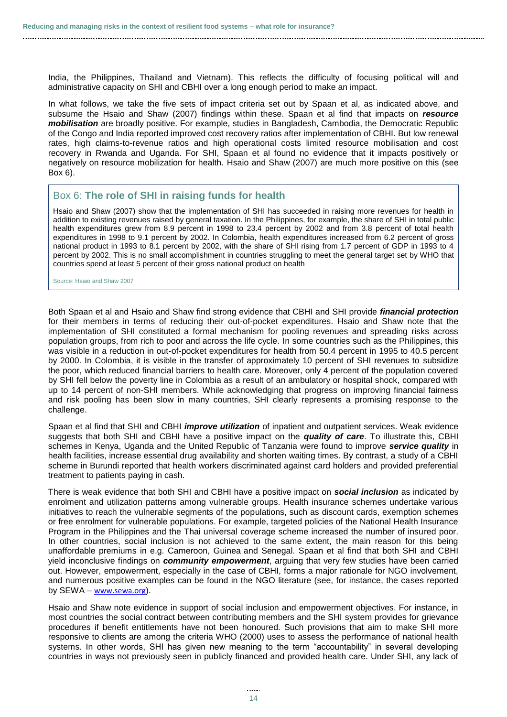India, the Philippines, Thailand and Vietnam). This reflects the difficulty of focusing political will and administrative capacity on SHI and CBHI over a long enough period to make an impact.

In what follows, we take the five sets of impact criteria set out by Spaan et al, as indicated above, and subsume the Hsaio and Shaw (2007) findings within these. Spaan et al find that impacts on *resource mobilisation* are broadly positive. For example, studies in Bangladesh, Cambodia, the Democratic Republic of the Congo and India reported improved cost recovery ratios after implementation of CBHI. But low renewal rates, high claims-to-revenue ratios and high operational costs limited resource mobilisation and cost recovery in Rwanda and Uganda. For SHI, Spaan et al found no evidence that it impacts positively or negatively on resource mobilization for health. Hsaio and Shaw (2007) are much more positive on this (see Box 6).

#### <span id="page-21-0"></span>Box 6: **The role of SHI in raising funds for health**

Hsaio and Shaw (2007) show that the implementation of SHI has succeeded in raising more revenues for health in addition to existing revenues raised by general taxation. In the Philippines, for example, the share of SHI in total public health expenditures grew from 8.9 percent in 1998 to 23.4 percent by 2002 and from 3.8 percent of total health expenditures in 1998 to 9.1 percent by 2002. In Colombia, health expenditures increased from 6.2 percent of gross national product in 1993 to 8.1 percent by 2002, with the share of SHI rising from 1.7 percent of GDP in 1993 to 4 percent by 2002. This is no small accomplishment in countries struggling to meet the general target set by WHO that countries spend at least 5 percent of their gross national product on health

Source: Hsaio and Shaw 2007

Both Spaan et al and Hsaio and Shaw find strong evidence that CBHI and SHI provide *financial protection* for their members in terms of reducing their out-of-pocket expenditures. Hsaio and Shaw note that the implementation of SHI constituted a formal mechanism for pooling revenues and spreading risks across population groups, from rich to poor and across the life cycle. In some countries such as the Philippines, this was visible in a reduction in out-of-pocket expenditures for health from 50.4 percent in 1995 to 40.5 percent by 2000. In Colombia, it is visible in the transfer of approximately 10 percent of SHI revenues to subsidize the poor, which reduced financial barriers to health care. Moreover, only 4 percent of the population covered by SHI fell below the poverty line in Colombia as a result of an ambulatory or hospital shock, compared with up to 14 percent of non-SHI members. While acknowledging that progress on improving financial fairness and risk pooling has been slow in many countries, SHI clearly represents a promising response to the challenge.

Spaan et al find that SHI and CBHI *improve utilization* of inpatient and outpatient services. Weak evidence suggests that both SHI and CBHI have a positive impact on the *quality of care*. To illustrate this, CBHI schemes in Kenya, Uganda and the United Republic of Tanzania were found to improve *service quality* in health facilities, increase essential drug availability and shorten waiting times. By contrast, a study of a CBHI scheme in Burundi reported that health workers discriminated against card holders and provided preferential treatment to patients paying in cash.

There is weak evidence that both SHI and CBHI have a positive impact on *social inclusion* as indicated by enrolment and utilization patterns among vulnerable groups. Health insurance schemes undertake various initiatives to reach the vulnerable segments of the populations, such as discount cards, exemption schemes or free enrolment for vulnerable populations. For example, targeted policies of the National Health Insurance Program in the Philippines and the Thai universal coverage scheme increased the number of insured poor. In other countries, social inclusion is not achieved to the same extent, the main reason for this being unaffordable premiums in e.g. Cameroon, Guinea and Senegal. Spaan et al find that both SHI and CBHI yield inconclusive findings on *community empowerment*, arguing that very few studies have been carried out. However, empowerment, especially in the case of CBHI, forms a major rationale for NGO involvement, and numerous positive examples can be found in the NGO literature (see, for instance, the cases reported by SEWA – [www.sewa.org](http://www.sewa.org/)).

Hsaio and Shaw note evidence in support of social inclusion and empowerment objectives. For instance, in most countries the social contract between contributing members and the SHI system provides for grievance procedures if benefit entitlements have not been honoured. Such provisions that aim to make SHI more responsive to clients are among the criteria WHO (2000) uses to assess the performance of national health systems. In other words, SHI has given new meaning to the term "accountability" in several developing countries in ways not previously seen in publicly financed and provided health care. Under SHI, any lack of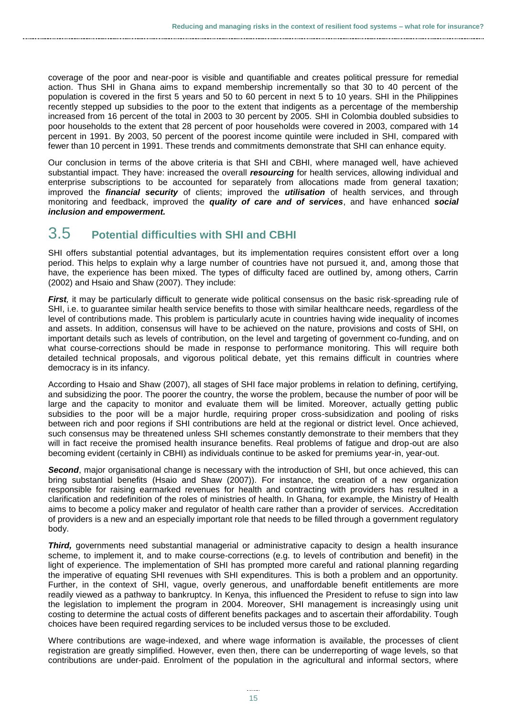coverage of the poor and near-poor is visible and quantifiable and creates political pressure for remedial action. Thus SHI in Ghana aims to expand membership incrementally so that 30 to 40 percent of the population is covered in the first 5 years and 50 to 60 percent in next 5 to 10 years. SHI in the Philippines recently stepped up subsidies to the poor to the extent that indigents as a percentage of the membership increased from 16 percent of the total in 2003 to 30 percent by 2005. SHI in Colombia doubled subsidies to poor households to the extent that 28 percent of poor households were covered in 2003, compared with 14 percent in 1991. By 2003, 50 percent of the poorest income quintile were included in SHI, compared with fewer than 10 percent in 1991. These trends and commitments demonstrate that SHI can enhance equity.

Our conclusion in terms of the above criteria is that SHI and CBHI, where managed well, have achieved substantial impact. They have: increased the overall *resourcing* for health services, allowing individual and enterprise subscriptions to be accounted for separately from allocations made from general taxation; improved the *financial security* of clients; improved the *utilisation* of health services, and through monitoring and feedback, improved the *quality of care and of services*, and have enhanced *social inclusion and empowerment.*

### <span id="page-22-0"></span>3.5 **Potential difficulties with SHI and CBHI**

SHI offers substantial potential advantages, but its implementation requires consistent effort over a long period. This helps to explain why a large number of countries have not pursued it, and, among those that have, the experience has been mixed. The types of difficulty faced are outlined by, among others, Carrin (2002) and Hsaio and Shaw (2007). They include:

*First,* it may be particularly difficult to generate wide political consensus on the basic risk-spreading rule of SHI, i.e. to guarantee similar health service benefits to those with similar healthcare needs, regardless of the level of contributions made. This problem is particularly acute in countries having wide inequality of incomes and assets. In addition, consensus will have to be achieved on the nature, provisions and costs of SHI, on important details such as levels of contribution, on the level and targeting of government co-funding, and on what course-corrections should be made in response to performance monitoring. This will require both detailed technical proposals, and vigorous political debate, yet this remains difficult in countries where democracy is in its infancy.

According to Hsaio and Shaw (2007), all stages of SHI face major problems in relation to defining, certifying, and subsidizing the poor. The poorer the country, the worse the problem, because the number of poor will be large and the capacity to monitor and evaluate them will be limited. Moreover, actually getting public subsidies to the poor will be a major hurdle, requiring proper cross-subsidization and pooling of risks between rich and poor regions if SHI contributions are held at the regional or district level. Once achieved, such consensus may be threatened unless SHI schemes constantly demonstrate to their members that they will in fact receive the promised health insurance benefits. Real problems of fatigue and drop-out are also becoming evident (certainly in CBHI) as individuals continue to be asked for premiums year-in, year-out.

**Second**, major organisational change is necessary with the introduction of SHI, but once achieved, this can bring substantial benefits (Hsaio and Shaw (2007)). For instance, the creation of a new organization responsible for raising earmarked revenues for health and contracting with providers has resulted in a clarification and redefinition of the roles of ministries of health. In Ghana, for example, the Ministry of Health aims to become a policy maker and regulator of health care rather than a provider of services. Accreditation of providers is a new and an especially important role that needs to be filled through a government regulatory body.

**Third,** governments need substantial managerial or administrative capacity to design a health insurance scheme, to implement it, and to make course-corrections (e.g. to levels of contribution and benefit) in the light of experience. The implementation of SHI has prompted more careful and rational planning regarding the imperative of equating SHI revenues with SHI expenditures. This is both a problem and an opportunity. Further, in the context of SHI, vague, overly generous, and unaffordable benefit entitlements are more readily viewed as a pathway to bankruptcy. In Kenya, this influenced the President to refuse to sign into law the legislation to implement the program in 2004. Moreover, SHI management is increasingly using unit costing to determine the actual costs of different benefits packages and to ascertain their affordability. Tough choices have been required regarding services to be included versus those to be excluded.

Where contributions are wage-indexed, and where wage information is available, the processes of client registration are greatly simplified. However, even then, there can be underreporting of wage levels, so that contributions are under-paid. Enrolment of the population in the agricultural and informal sectors, where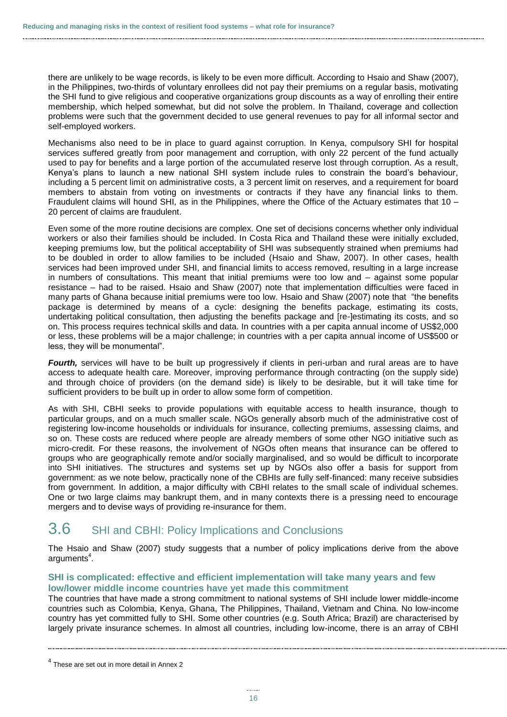there are unlikely to be wage records, is likely to be even more difficult. According to Hsaio and Shaw (2007), in the Philippines, two-thirds of voluntary enrollees did not pay their premiums on a regular basis, motivating the SHI fund to give religious and cooperative organizations group discounts as a way of enrolling their entire membership, which helped somewhat, but did not solve the problem. In Thailand, coverage and collection problems were such that the government decided to use general revenues to pay for all informal sector and self-employed workers.

Mechanisms also need to be in place to guard against corruption. In Kenya, compulsory SHI for hospital services suffered greatly from poor management and corruption, with only 22 percent of the fund actually used to pay for benefits and a large portion of the accumulated reserve lost through corruption. As a result, Kenya's plans to launch a new national SHI system include rules to constrain the board's behaviour, including a 5 percent limit on administrative costs, a 3 percent limit on reserves, and a requirement for board members to abstain from voting on investments or contracts if they have any financial links to them. Fraudulent claims will hound SHI, as in the Philippines, where the Office of the Actuary estimates that 10 – 20 percent of claims are fraudulent.

Even some of the more routine decisions are complex. One set of decisions concerns whether only individual workers or also their families should be included. In Costa Rica and Thailand these were initially excluded, keeping premiums low, but the political acceptability of SHI was subsequently strained when premiums had to be doubled in order to allow families to be included (Hsaio and Shaw, 2007). In other cases, health services had been improved under SHI, and financial limits to access removed, resulting in a large increase in numbers of consultations. This meant that initial premiums were too low and – against some popular resistance – had to be raised. Hsaio and Shaw (2007) note that implementation difficulties were faced in many parts of Ghana because initial premiums were too low. Hsaio and Shaw (2007) note that "the benefits package is determined by means of a cycle: designing the benefits package, estimating its costs, undertaking political consultation, then adjusting the benefits package and [re-]estimating its costs, and so on. This process requires technical skills and data. In countries with a per capita annual income of US\$2,000 or less, these problems will be a major challenge; in countries with a per capita annual income of US\$500 or less, they will be monumental".

*Fourth*, services will have to be built up progressively if clients in peri-urban and rural areas are to have access to adequate health care. Moreover, improving performance through contracting (on the supply side) and through choice of providers (on the demand side) is likely to be desirable, but it will take time for sufficient providers to be built up in order to allow some form of competition.

As with SHI, CBHI seeks to provide populations with equitable access to health insurance, though to particular groups, and on a much smaller scale. NGOs generally absorb much of the administrative cost of registering low-income households or individuals for insurance, collecting premiums, assessing claims, and so on. These costs are reduced where people are already members of some other NGO initiative such as micro-credit. For these reasons, the involvement of NGOs often means that insurance can be offered to groups who are geographically remote and/or socially marginalised, and so would be difficult to incorporate into SHI initiatives. The structures and systems set up by NGOs also offer a basis for support from government: as we note below, practically none of the CBHIs are fully self-financed: many receive subsidies from government. In addition, a major difficulty with CBHI relates to the small scale of individual schemes. One or two large claims may bankrupt them, and in many contexts there is a pressing need to encourage mergers and to devise ways of providing re-insurance for them.

### <span id="page-23-0"></span>3.6 SHI and CBHI: Policy Implications and Conclusions

The Hsaio and Shaw (2007) study suggests that a number of policy implications derive from the above arguments<sup>4</sup>.

#### **SHI is complicated: effective and efficient implementation will take many years and few low/lower middle income countries have yet made this commitment**

The countries that have made a strong commitment to national systems of SHI include lower middle-income countries such as Colombia, Kenya, Ghana, The Philippines, Thailand, Vietnam and China. No low-income country has yet committed fully to SHI. Some other countries (e.g. South Africa; Brazil) are characterised by largely private insurance schemes. In almost all countries, including low-income, there is an array of CBHI

<sup>4</sup> These are set out in more detail in Annex 2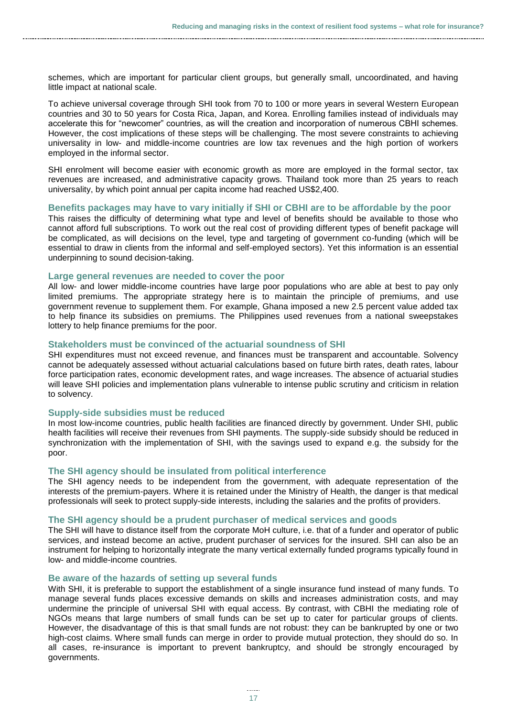schemes, which are important for particular client groups, but generally small, uncoordinated, and having little impact at national scale.

To achieve universal coverage through SHI took from 70 to 100 or more years in several Western European countries and 30 to 50 years for Costa Rica, Japan, and Korea. Enrolling families instead of individuals may accelerate this for "newcomer" countries, as will the creation and incorporation of numerous CBHI schemes. However, the cost implications of these steps will be challenging. The most severe constraints to achieving universality in low- and middle-income countries are low tax revenues and the high portion of workers employed in the informal sector.

SHI enrolment will become easier with economic growth as more are employed in the formal sector, tax revenues are increased, and administrative capacity grows. Thailand took more than 25 years to reach universality, by which point annual per capita income had reached US\$2,400.

#### **Benefits packages may have to vary initially if SHI or CBHI are to be affordable by the poor**

This raises the difficulty of determining what type and level of benefits should be available to those who cannot afford full subscriptions. To work out the real cost of providing different types of benefit package will be complicated, as will decisions on the level, type and targeting of government co-funding (which will be essential to draw in clients from the informal and self-employed sectors). Yet this information is an essential underpinning to sound decision-taking.

#### **Large general revenues are needed to cover the poor**

All low- and lower middle-income countries have large poor populations who are able at best to pay only limited premiums. The appropriate strategy here is to maintain the principle of premiums, and use government revenue to supplement them. For example, Ghana imposed a new 2.5 percent value added tax to help finance its subsidies on premiums. The Philippines used revenues from a national sweepstakes lottery to help finance premiums for the poor.

#### **Stakeholders must be convinced of the actuarial soundness of SHI**

SHI expenditures must not exceed revenue, and finances must be transparent and accountable. Solvency cannot be adequately assessed without actuarial calculations based on future birth rates, death rates, labour force participation rates, economic development rates, and wage increases. The absence of actuarial studies will leave SHI policies and implementation plans vulnerable to intense public scrutiny and criticism in relation to solvency.

#### **Supply-side subsidies must be reduced**

In most low-income countries, public health facilities are financed directly by government. Under SHI, public health facilities will receive their revenues from SHI payments. The supply-side subsidy should be reduced in synchronization with the implementation of SHI, with the savings used to expand e.g. the subsidy for the poor.

#### **The SHI agency should be insulated from political interference**

The SHI agency needs to be independent from the government, with adequate representation of the interests of the premium-payers. Where it is retained under the Ministry of Health, the danger is that medical professionals will seek to protect supply-side interests, including the salaries and the profits of providers.

#### **The SHI agency should be a prudent purchaser of medical services and goods**

The SHI will have to distance itself from the corporate MoH culture, i.e. that of a funder and operator of public services, and instead become an active, prudent purchaser of services for the insured. SHI can also be an instrument for helping to horizontally integrate the many vertical externally funded programs typically found in low- and middle-income countries.

#### **Be aware of the hazards of setting up several funds**

With SHI, it is preferable to support the establishment of a single insurance fund instead of many funds. To manage several funds places excessive demands on skills and increases administration costs, and may undermine the principle of universal SHI with equal access. By contrast, with CBHI the mediating role of NGOs means that large numbers of small funds can be set up to cater for particular groups of clients. However, the disadvantage of this is that small funds are not robust: they can be bankrupted by one or two high-cost claims. Where small funds can merge in order to provide mutual protection, they should do so. In all cases, re-insurance is important to prevent bankruptcy, and should be strongly encouraged by governments.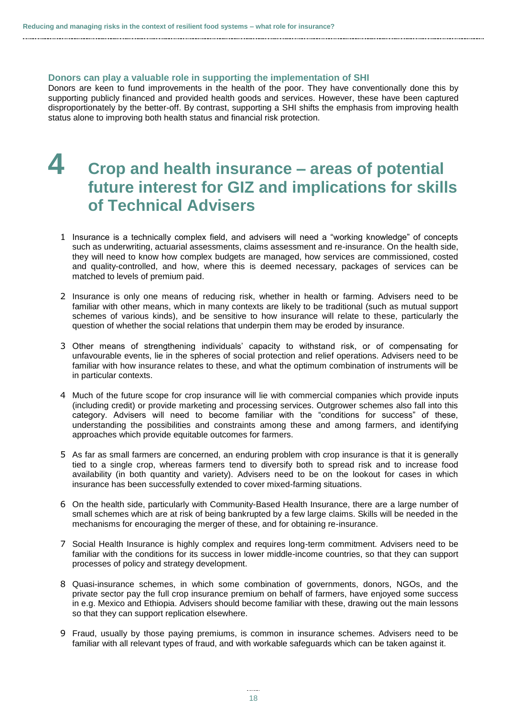#### **Donors can play a valuable role in supporting the implementation of SHI**

Donors are keen to fund improvements in the health of the poor. They have conventionally done this by supporting publicly financed and provided health goods and services. However, these have been captured disproportionately by the better-off. By contrast, supporting a SHI shifts the emphasis from improving health status alone to improving both health status and financial risk protection.

### <span id="page-25-0"></span>**4 Crop and health insurance – areas of potential future interest for GIZ and implications for skills of Technical Advisers**

- 1 Insurance is a technically complex field, and advisers will need a "working knowledge" of concepts such as underwriting, actuarial assessments, claims assessment and re-insurance. On the health side, they will need to know how complex budgets are managed, how services are commissioned, costed and quality-controlled, and how, where this is deemed necessary, packages of services can be matched to levels of premium paid.
- 2 Insurance is only one means of reducing risk, whether in health or farming. Advisers need to be familiar with other means, which in many contexts are likely to be traditional (such as mutual support schemes of various kinds), and be sensitive to how insurance will relate to these, particularly the question of whether the social relations that underpin them may be eroded by insurance.
- 3 Other means of strengthening individuals' capacity to withstand risk, or of compensating for unfavourable events, lie in the spheres of social protection and relief operations. Advisers need to be familiar with how insurance relates to these, and what the optimum combination of instruments will be in particular contexts.
- 4 Much of the future scope for crop insurance will lie with commercial companies which provide inputs (including credit) or provide marketing and processing services. Outgrower schemes also fall into this category. Advisers will need to become familiar with the "conditions for success" of these, understanding the possibilities and constraints among these and among farmers, and identifying approaches which provide equitable outcomes for farmers.
- 5 As far as small farmers are concerned, an enduring problem with crop insurance is that it is generally tied to a single crop, whereas farmers tend to diversify both to spread risk and to increase food availability (in both quantity and variety). Advisers need to be on the lookout for cases in which insurance has been successfully extended to cover mixed-farming situations.
- 6 On the health side, particularly with Community-Based Health Insurance, there are a large number of small schemes which are at risk of being bankrupted by a few large claims. Skills will be needed in the mechanisms for encouraging the merger of these, and for obtaining re-insurance.
- 7 Social Health Insurance is highly complex and requires long-term commitment. Advisers need to be familiar with the conditions for its success in lower middle-income countries, so that they can support processes of policy and strategy development.
- 8 Quasi-insurance schemes, in which some combination of governments, donors, NGOs, and the private sector pay the full crop insurance premium on behalf of farmers, have enjoyed some success in e.g. Mexico and Ethiopia. Advisers should become familiar with these, drawing out the main lessons so that they can support replication elsewhere.
- 9 Fraud, usually by those paying premiums, is common in insurance schemes. Advisers need to be familiar with all relevant types of fraud, and with workable safeguards which can be taken against it.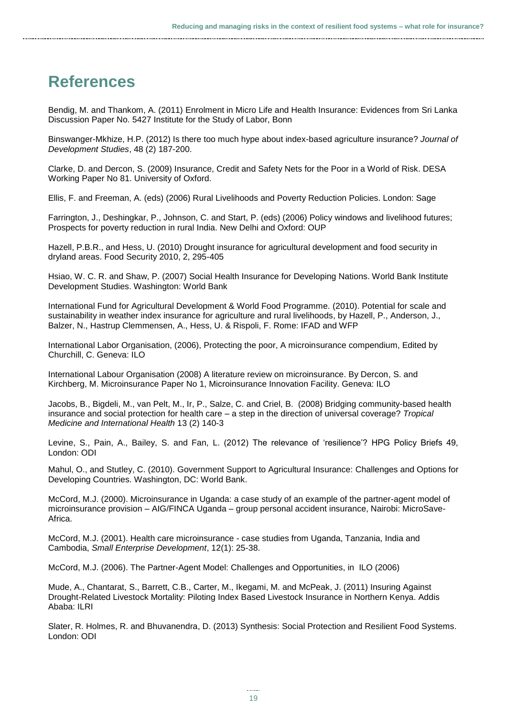### <span id="page-26-0"></span>**References**

Bendig, M. and Thankom, A. (2011) Enrolment in Micro Life and Health Insurance: Evidences from Sri Lanka Discussion Paper No. 5427 Institute for the Study of Labor, Bonn

Binswanger-Mkhize, H.P. (2012) Is there too much hype about index-based agriculture insurance? *Journal of Development Studies*, 48 (2) 187-200.

Clarke, D. and Dercon, S. (2009) Insurance, Credit and Safety Nets for the Poor in a World of Risk. DESA Working Paper No 81. University of Oxford.

Ellis, F. and Freeman, A. (eds) (2006) Rural Livelihoods and Poverty Reduction Policies. London: Sage

Farrington, J., Deshingkar, P., Johnson, C. and Start, P. (eds) (2006) Policy windows and livelihood futures; Prospects for poverty reduction in rural India. New Delhi and Oxford: OUP

Hazell, P.B.R., and Hess, U. (2010) Drought insurance for agricultural development and food security in dryland areas. Food Security 2010, 2, 295-405

Hsiao, W. C. R. and Shaw, P. (2007) Social Health Insurance for Developing Nations. World Bank Institute Development Studies. Washington: World Bank

International Fund for Agricultural Development & World Food Programme. (2010). Potential for scale and sustainability in weather index insurance for agriculture and rural livelihoods, by Hazell, P., Anderson, J., Balzer, N., Hastrup Clemmensen, A., Hess, U. & Rispoli, F. Rome: IFAD and WFP

International Labor Organisation, (2006), Protecting the poor, A microinsurance compendium, Edited by Churchill, C. Geneva: ILO

International Labour Organisation (2008) A literature review on microinsurance. By Dercon, S. and Kirchberg, M. Microinsurance Paper No 1, Microinsurance Innovation Facility. Geneva: ILO

Jacobs, B., Bigdeli, M., van Pelt, M., Ir, P., Salze, C. and Criel, B. (2008) Bridging community-based health insurance and social protection for health care – a step in the direction of universal coverage? *Tropical Medicine and International Health* 13 (2) 140-3

Levine, S., Pain, A., Bailey, S. and Fan, L. (2012) The relevance of 'resilience'? HPG Policy Briefs 49, London: ODI

Mahul, O., and Stutley, C. (2010). Government Support to Agricultural Insurance: Challenges and Options for Developing Countries. Washington, DC: World Bank.

McCord, M.J. (2000). Microinsurance in Uganda: a case study of an example of the partner-agent model of microinsurance provision – AIG/FINCA Uganda – group personal accident insurance, Nairobi: MicroSave-Africa.

McCord, M.J. (2001). Health care microinsurance - case studies from Uganda, Tanzania, India and Cambodia, *Small Enterprise Development*, 12(1): 25-38.

McCord, M.J. (2006). The Partner-Agent Model: Challenges and Opportunities, in ILO (2006)

Mude, A., Chantarat, S., Barrett, C.B., Carter, M., Ikegami, M. and McPeak, J. (2011) Insuring Against Drought‐Related Livestock Mortality: Piloting Index Based Livestock Insurance in Northern Kenya. Addis Ababa: ILRI

Slater, R. Holmes, R. and Bhuvanendra, D. (2013) Synthesis: Social Protection and Resilient Food Systems. London: ODI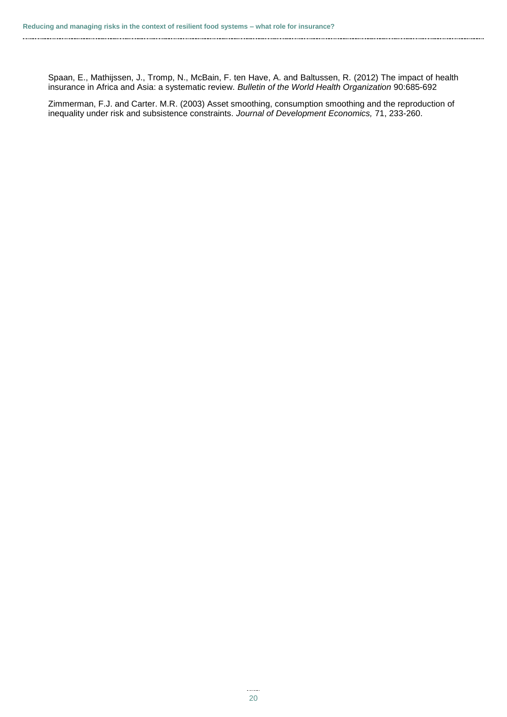Spaan, E., Mathijssen, J., Tromp, N., McBain, F. ten Have, A. and Baltussen, R. (2012) The impact of health insurance in Africa and Asia: a systematic review. *Bulletin of the World Health Organization* 90:685-692

Zimmerman, F.J. and Carter. M.R. (2003) Asset smoothing, consumption smoothing and the reproduction of inequality under risk and subsistence constraints. *Journal of Development Economics,* 71, 233-260.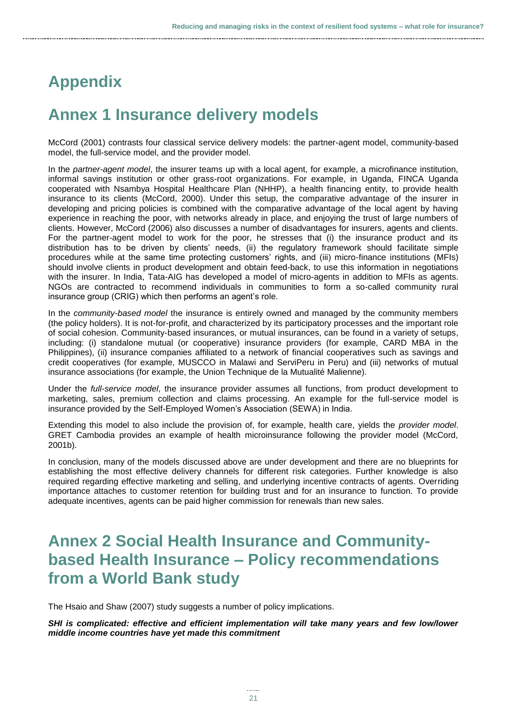### **Appendix**

### <span id="page-28-0"></span>**Annex 1 Insurance delivery models**

McCord (2001) contrasts four classical service delivery models: the partner-agent model, community-based model, the full-service model, and the provider model.

In the *partner-agent model*, the insurer teams up with a local agent, for example, a microfinance institution, informal savings institution or other grass-root organizations. For example, in Uganda, FINCA Uganda cooperated with Nsambya Hospital Healthcare Plan (NHHP), a health financing entity, to provide health insurance to its clients (McCord, 2000). Under this setup, the comparative advantage of the insurer in developing and pricing policies is combined with the comparative advantage of the local agent by having experience in reaching the poor, with networks already in place, and enjoying the trust of large numbers of clients. However, McCord (2006) also discusses a number of disadvantages for insurers, agents and clients. For the partner-agent model to work for the poor, he stresses that (i) the insurance product and its distribution has to be driven by clients' needs, (ii) the regulatory framework should facilitate simple procedures while at the same time protecting customers' rights, and (iii) micro-finance institutions (MFIs) should involve clients in product development and obtain feed-back, to use this information in negotiations with the insurer. In India, Tata-AIG has developed a model of micro-agents in addition to MFIs as agents. NGOs are contracted to recommend individuals in communities to form a so-called community rural insurance group (CRIG) which then performs an agent's role.

In the *community-based model* the insurance is entirely owned and managed by the community members (the policy holders). It is not-for-profit, and characterized by its participatory processes and the important role of social cohesion. Community-based insurances, or mutual insurances, can be found in a variety of setups, including: (i) standalone mutual (or cooperative) insurance providers (for example, CARD MBA in the Philippines), (ii) insurance companies affiliated to a network of financial cooperatives such as savings and credit cooperatives (for example, MUSCCO in Malawi and ServiPeru in Peru) and (iii) networks of mutual insurance associations (for example, the Union Technique de la Mutualité Malienne).

Under the *full-service model*, the insurance provider assumes all functions, from product development to marketing, sales, premium collection and claims processing. An example for the full-service model is insurance provided by the Self-Employed Women's Association (SEWA) in India.

Extending this model to also include the provision of, for example, health care, yields the *provider model*. GRET Cambodia provides an example of health microinsurance following the provider model (McCord, 2001b).

In conclusion, many of the models discussed above are under development and there are no blueprints for establishing the most effective delivery channels for different risk categories. Further knowledge is also required regarding effective marketing and selling, and underlying incentive contracts of agents. Overriding importance attaches to customer retention for building trust and for an insurance to function. To provide adequate incentives, agents can be paid higher commission for renewals than new sales.

### <span id="page-28-1"></span>**Annex 2 Social Health Insurance and Communitybased Health Insurance – Policy recommendations from a World Bank study**

The Hsaio and Shaw (2007) study suggests a number of policy implications.

*SHI is complicated: effective and efficient implementation will take many years and few low/lower middle income countries have yet made this commitment*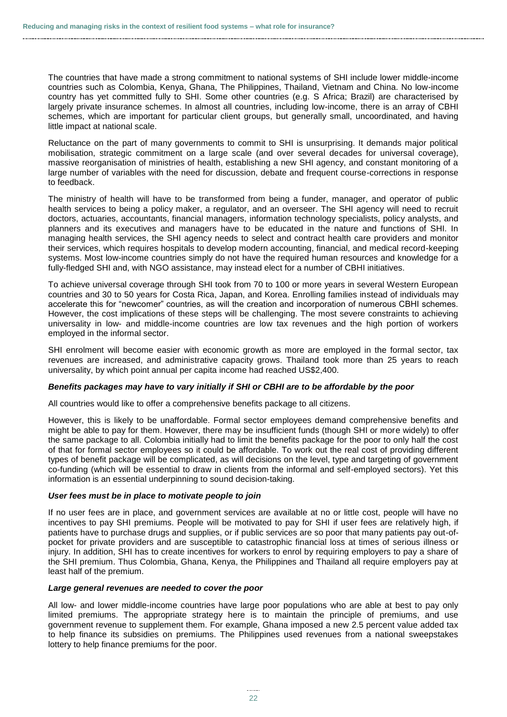The countries that have made a strong commitment to national systems of SHI include lower middle-income countries such as Colombia, Kenya, Ghana, The Philippines, Thailand, Vietnam and China. No low-income country has yet committed fully to SHI. Some other countries (e.g. S Africa; Brazil) are characterised by largely private insurance schemes. In almost all countries, including low-income, there is an array of CBHI schemes, which are important for particular client groups, but generally small, uncoordinated, and having little impact at national scale.

Reluctance on the part of many governments to commit to SHI is unsurprising. It demands major political mobilisation, strategic commitment on a large scale (and over several decades for universal coverage), massive reorganisation of ministries of health, establishing a new SHI agency, and constant monitoring of a large number of variables with the need for discussion, debate and frequent course-corrections in response to feedback.

The ministry of health will have to be transformed from being a funder, manager, and operator of public health services to being a policy maker, a regulator, and an overseer. The SHI agency will need to recruit doctors, actuaries, accountants, financial managers, information technology specialists, policy analysts, and planners and its executives and managers have to be educated in the nature and functions of SHI. In managing health services, the SHI agency needs to select and contract health care providers and monitor their services, which requires hospitals to develop modern accounting, financial, and medical record-keeping systems. Most low-income countries simply do not have the required human resources and knowledge for a fully-fledged SHI and, with NGO assistance, may instead elect for a number of CBHI initiatives.

To achieve universal coverage through SHI took from 70 to 100 or more years in several Western European countries and 30 to 50 years for Costa Rica, Japan, and Korea. Enrolling families instead of individuals may accelerate this for "newcomer" countries, as will the creation and incorporation of numerous CBHI schemes. However, the cost implications of these steps will be challenging. The most severe constraints to achieving universality in low- and middle-income countries are low tax revenues and the high portion of workers employed in the informal sector.

SHI enrolment will become easier with economic growth as more are employed in the formal sector, tax revenues are increased, and administrative capacity grows. Thailand took more than 25 years to reach universality, by which point annual per capita income had reached US\$2,400.

#### *Benefits packages may have to vary initially if SHI or CBHI are to be affordable by the poor*

All countries would like to offer a comprehensive benefits package to all citizens.

However, this is likely to be unaffordable. Formal sector employees demand comprehensive benefits and might be able to pay for them. However, there may be insufficient funds (though SHI or more widely) to offer the same package to all. Colombia initially had to limit the benefits package for the poor to only half the cost of that for formal sector employees so it could be affordable. To work out the real cost of providing different types of benefit package will be complicated, as will decisions on the level, type and targeting of government co-funding (which will be essential to draw in clients from the informal and self-employed sectors). Yet this information is an essential underpinning to sound decision-taking.

#### *User fees must be in place to motivate people to join*

If no user fees are in place, and government services are available at no or little cost, people will have no incentives to pay SHI premiums. People will be motivated to pay for SHI if user fees are relatively high, if patients have to purchase drugs and supplies, or if public services are so poor that many patients pay out-ofpocket for private providers and are susceptible to catastrophic financial loss at times of serious illness or injury. In addition, SHI has to create incentives for workers to enrol by requiring employers to pay a share of the SHI premium. Thus Colombia, Ghana, Kenya, the Philippines and Thailand all require employers pay at least half of the premium.

#### *Large general revenues are needed to cover the poor*

All low- and lower middle-income countries have large poor populations who are able at best to pay only limited premiums. The appropriate strategy here is to maintain the principle of premiums, and use government revenue to supplement them. For example, Ghana imposed a new 2.5 percent value added tax to help finance its subsidies on premiums. The Philippines used revenues from a national sweepstakes lottery to help finance premiums for the poor.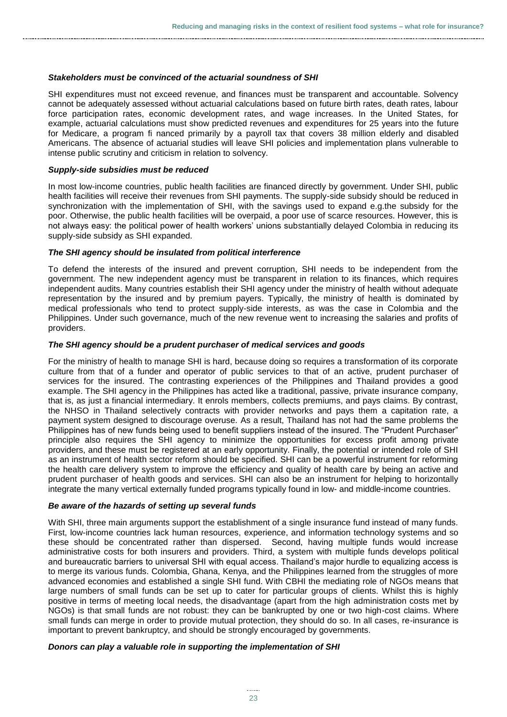#### *Stakeholders must be convinced of the actuarial soundness of SHI*

SHI expenditures must not exceed revenue, and finances must be transparent and accountable. Solvency cannot be adequately assessed without actuarial calculations based on future birth rates, death rates, labour force participation rates, economic development rates, and wage increases. In the United States, for example, actuarial calculations must show predicted revenues and expenditures for 25 years into the future for Medicare, a program fi nanced primarily by a payroll tax that covers 38 million elderly and disabled Americans. The absence of actuarial studies will leave SHI policies and implementation plans vulnerable to intense public scrutiny and criticism in relation to solvency.

#### *Supply-side subsidies must be reduced*

In most low-income countries, public health facilities are financed directly by government. Under SHI, public health facilities will receive their revenues from SHI payments. The supply-side subsidy should be reduced in synchronization with the implementation of SHI, with the savings used to expand e.g.the subsidy for the poor. Otherwise, the public health facilities will be overpaid, a poor use of scarce resources. However, this is not always easy: the political power of health workers' unions substantially delayed Colombia in reducing its supply-side subsidy as SHI expanded.

#### *The SHI agency should be insulated from political interference*

To defend the interests of the insured and prevent corruption, SHI needs to be independent from the government. The new independent agency must be transparent in relation to its finances, which requires independent audits. Many countries establish their SHI agency under the ministry of health without adequate representation by the insured and by premium payers. Typically, the ministry of health is dominated by medical professionals who tend to protect supply-side interests, as was the case in Colombia and the Philippines. Under such governance, much of the new revenue went to increasing the salaries and profits of providers.

#### *The SHI agency should be a prudent purchaser of medical services and goods*

For the ministry of health to manage SHI is hard, because doing so requires a transformation of its corporate culture from that of a funder and operator of public services to that of an active, prudent purchaser of services for the insured. The contrasting experiences of the Philippines and Thailand provides a good example. The SHI agency in the Philippines has acted like a traditional, passive, private insurance company, that is, as just a financial intermediary. It enrols members, collects premiums, and pays claims. By contrast, the NHSO in Thailand selectively contracts with provider networks and pays them a capitation rate, a payment system designed to discourage overuse. As a result, Thailand has not had the same problems the Philippines has of new funds being used to benefit suppliers instead of the insured. The "Prudent Purchaser" principle also requires the SHI agency to minimize the opportunities for excess profit among private providers, and these must be registered at an early opportunity. Finally, the potential or intended role of SHI as an instrument of health sector reform should be specified. SHI can be a powerful instrument for reforming the health care delivery system to improve the efficiency and quality of health care by being an active and prudent purchaser of health goods and services. SHI can also be an instrument for helping to horizontally integrate the many vertical externally funded programs typically found in low- and middle-income countries.

#### *Be aware of the hazards of setting up several funds*

With SHI, three main arguments support the establishment of a single insurance fund instead of many funds. First, low-income countries lack human resources, experience, and information technology systems and so these should be concentrated rather than dispersed. Second, having multiple funds would increase administrative costs for both insurers and providers. Third, a system with multiple funds develops political and bureaucratic barriers to universal SHI with equal access. Thailand's major hurdle to equalizing access is to merge its various funds. Colombia, Ghana, Kenya, and the Philippines learned from the struggles of more advanced economies and established a single SHI fund. With CBHI the mediating role of NGOs means that large numbers of small funds can be set up to cater for particular groups of clients. Whilst this is highly positive in terms of meeting local needs, the disadvantage (apart from the high administration costs met by NGOs) is that small funds are not robust: they can be bankrupted by one or two high-cost claims. Where small funds can merge in order to provide mutual protection, they should do so. In all cases, re-insurance is important to prevent bankruptcy, and should be strongly encouraged by governments.

#### *Donors can play a valuable role in supporting the implementation of SHI*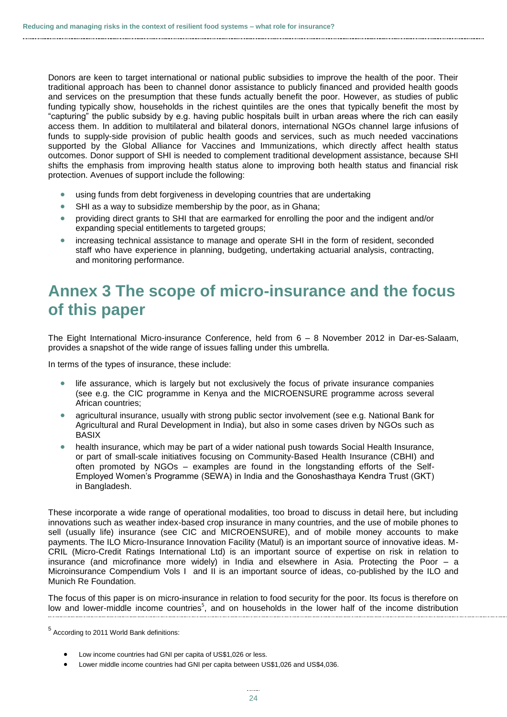Donors are keen to target international or national public subsidies to improve the health of the poor. Their traditional approach has been to channel donor assistance to publicly financed and provided health goods and services on the presumption that these funds actually benefit the poor. However, as studies of public funding typically show, households in the richest quintiles are the ones that typically benefit the most by "capturing" the public subsidy by e.g. having public hospitals built in urban areas where the rich can easily access them. In addition to multilateral and bilateral donors, international NGOs channel large infusions of funds to supply-side provision of public health goods and services, such as much needed vaccinations supported by the Global Alliance for Vaccines and Immunizations, which directly affect health status outcomes. Donor support of SHI is needed to complement traditional development assistance, because SHI shifts the emphasis from improving health status alone to improving both health status and financial risk protection. Avenues of support include the following:

- using funds from debt forgiveness in developing countries that are undertaking
- SHI as a way to subsidize membership by the poor, as in Ghana;
- providing direct grants to SHI that are earmarked for enrolling the poor and the indigent and/or expanding special entitlements to targeted groups;
- increasing technical assistance to manage and operate SHI in the form of resident, seconded staff who have experience in planning, budgeting, undertaking actuarial analysis, contracting, and monitoring performance.

### <span id="page-31-0"></span>**Annex 3 The scope of micro-insurance and the focus of this paper**

The Eight International Micro-insurance Conference, held from 6 – 8 November 2012 in Dar-es-Salaam, provides a snapshot of the wide range of issues falling under this umbrella.

In terms of the types of insurance, these include:

- life assurance, which is largely but not exclusively the focus of private insurance companies (see e.g. the CIC programme in Kenya and the MICROENSURE programme across several African countries;
- agricultural insurance, usually with strong public sector involvement (see e.g. National Bank for Agricultural and Rural Development in India), but also in some cases driven by NGOs such as BASIX
- health insurance, which may be part of a wider national push towards Social Health Insurance, or part of small-scale initiatives focusing on Community-Based Health Insurance (CBHI) and often promoted by NGOs – examples are found in the longstanding efforts of the Self-Employed Women's Programme (SEWA) in India and the Gonoshasthaya Kendra Trust (GKT) in Bangladesh.

These incorporate a wide range of operational modalities, too broad to discuss in detail here, but including innovations such as weather index-based crop insurance in many countries, and the use of mobile phones to sell (usually life) insurance (see CIC and MICROENSURE), and of mobile money accounts to make payments. The ILO Micro-Insurance Innovation Facility (Matul) is an important source of innovative ideas. M-CRIL (Micro-Credit Ratings International Ltd) is an important source of expertise on risk in relation to insurance (and microfinance more widely) in India and elsewhere in Asia. Protecting the Poor – a Microinsurance Compendium Vols I and II is an important source of ideas, co-published by the ILO and Munich Re Foundation.

The focus of this paper is on micro-insurance in relation to food security for the poor. Its focus is therefore on low and lower-middle income countries<sup>5</sup>, and on households in the lower half of the income distribution

<sup>&</sup>lt;sup>5</sup> According to 2011 World Bank definitions:

Low income countries had GNI per capita of US\$1,026 or less.

Lower middle income countries had GNI per capita between US\$1,026 and US\$4,036.